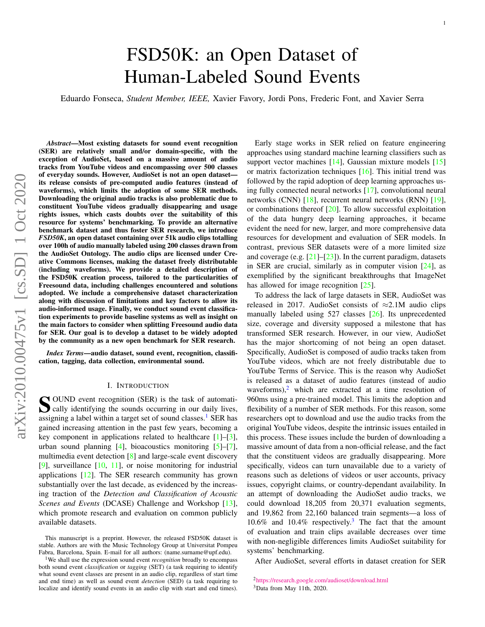# FSD50K: an Open Dataset of Human-Labeled Sound Events

Eduardo Fonseca, *Student Member, IEEE,* Xavier Favory, Jordi Pons, Frederic Font, and Xavier Serra

*Abstract*—Most existing datasets for sound event recognition (SER) are relatively small and/or domain-specific, with the exception of AudioSet, based on a massive amount of audio tracks from YouTube videos and encompassing over 500 classes of everyday sounds. However, AudioSet is not an open dataset its release consists of pre-computed audio features (instead of waveforms), which limits the adoption of some SER methods. Downloading the original audio tracks is also problematic due to constituent YouTube videos gradually disappearing and usage rights issues, which casts doubts over the suitability of this resource for systems' benchmarking. To provide an alternative benchmark dataset and thus foster SER research, we introduce *FSD50K*, an open dataset containing over 51k audio clips totalling over 100h of audio manually labeled using 200 classes drawn from the AudioSet Ontology. The audio clips are licensed under Creative Commons licenses, making the dataset freely distributable (including waveforms). We provide a detailed description of the FSD50K creation process, tailored to the particularities of Freesound data, including challenges encountered and solutions adopted. We include a comprehensive dataset characterization along with discussion of limitations and key factors to allow its audio-informed usage. Finally, we conduct sound event classification experiments to provide baseline systems as well as insight on the main factors to consider when splitting Freesound audio data for SER. Our goal is to develop a dataset to be widely adopted by the community as a new open benchmark for SER research.

*Index Terms*—audio dataset, sound event, recognition, classification, tagging, data collection, environmental sound.

#### I. INTRODUCTION

<span id="page-0-3"></span>S OUND event recognition (SER) is the task of automati-<br>cally identifying the sounds occurring in our daily lives, cally identifying the sounds occurring in our daily lives, assigning a label within a target set of sound classes.<sup>[1](#page-0-0)</sup> SER has gained increasing attention in the past few years, becoming a key component in applications related to healthcare  $[1]-[3]$  $[1]-[3]$  $[1]-[3]$ , urban sound planning [\[4\]](#page-20-2), bioacoustics monitoring  $[5]-[7]$  $[5]-[7]$  $[5]-[7]$ , multimedia event detection [\[8\]](#page-20-5) and large-scale event discovery  $[9]$ , surveillance  $[10, 11]$  $[10, 11]$  $[10, 11]$ , or noise monitoring for industrial applications [\[12\]](#page-20-9). The SER research community has grown substantially over the last decade, as evidenced by the increasing traction of the *Detection and Classification of Acoustic Scenes and Events* (DCASE) Challenge and Workshop [\[13\]](#page-20-10), which promote research and evaluation on common publicly available datasets.

Early stage works in SER relied on feature engineering approaches using standard machine learning classifiers such as support vector machines [\[14\]](#page-20-11), Gaussian mixture models [\[15\]](#page-20-12) or matrix factorization techniques [\[16\]](#page-20-13). This initial trend was followed by the rapid adoption of deep learning approaches using fully connected neural networks [\[17\]](#page-20-14), convolutional neural networks (CNN) [\[18\]](#page-20-15), recurrent neural networks (RNN) [\[19\]](#page-20-16), or combinations thereof [\[20\]](#page-20-17). To allow successful exploitation of the data hungry deep learning approaches, it became evident the need for new, larger, and more comprehensive data resources for development and evaluation of SER models. In contrast, previous SER datasets were of a more limited size and coverage (e.g.  $[21]$ – $[23]$ ). In the current paradigm, datasets in SER are crucial, similarly as in computer vision  $[24]$ , as exemplified by the significant breakthroughs that ImageNet has allowed for image recognition [\[25\]](#page-20-21).

To address the lack of large datasets in SER, AudioSet was released in 2017. AudioSet consists of  $\approx$ 2.1M audio clips manually labeled using 527 classes [\[26\]](#page-20-22). Its unprecedented size, coverage and diversity supposed a milestone that has transformed SER research. However, in our view, AudioSet has the major shortcoming of not being an open dataset. Specifically, AudioSet is composed of audio tracks taken from YouTube videos, which are not freely distributable due to YouTube Terms of Service. This is the reason why AudioSet is released as a dataset of audio features (instead of audio waveforms), $\frac{2}{3}$  $\frac{2}{3}$  $\frac{2}{3}$  which are extracted at a time resolution of 960ms using a pre-trained model. This limits the adoption and flexibility of a number of SER methods. For this reason, some researchers opt to download and use the audio tracks from the original YouTube videos, despite the intrinsic issues entailed in this process. These issues include the burden of downloading a massive amount of data from a non-official release, and the fact that the constituent videos are gradually disappearing. More specifically, videos can turn unavailable due to a variety of reasons such as deletions of videos or user accounts, privacy issues, copyright claims, or country-dependant availability. In an attempt of downloading the AudioSet audio tracks, we could download 18,205 from 20,371 evaluation segments, and 19,862 from 22,160 balanced train segments—a loss of 10.6% and 10.4% respectively.[3](#page-0-2) The fact that the amount of evaluation and train clips available decreases over time with non-negligible differences limits AudioSet suitability for systems' benchmarking.

After AudioSet, several efforts in dataset creation for SER

This manuscript is a preprint. However, the released FSD50K dataset is stable. Authors are with the Music Technology Group at Universitat Pompeu Fabra, Barcelona, Spain. E-mail for all authors: (name.surname@upf.edu).

<span id="page-0-0"></span><sup>&</sup>lt;sup>1</sup>We shall use the expression sound event *recognition* broadly to encompass both sound event *classification* or *tagging* (SET) (a task requiring to identify what sound event classes are present in an audio clip, regardless of start time and end time) as well as sound event *detection* (SED) (a task requiring to localize and identify sound events in an audio clip with start and end times).

<span id="page-0-2"></span><span id="page-0-1"></span><sup>2</sup><https://research.google.com/audioset/download.html> <sup>3</sup>Data from May 11th, 2020.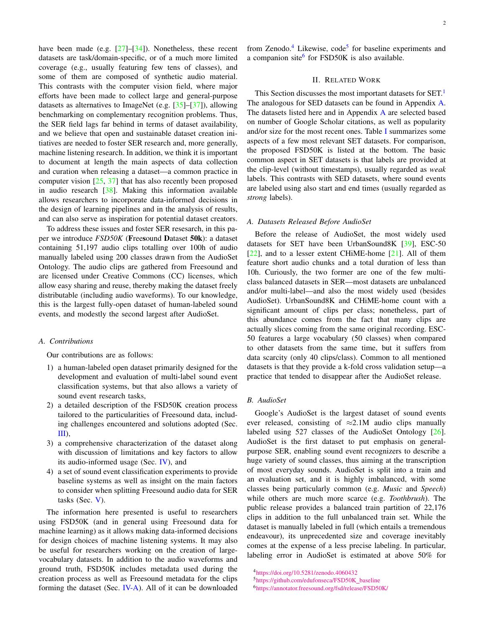have been made (e.g. [\[27\]](#page-20-23)–[\[34\]](#page-21-0)). Nonetheless, these recent datasets are task/domain-specific, or of a much more limited coverage (e.g., usually featuring few tens of classes), and some of them are composed of synthetic audio material. This contrasts with the computer vision field, where major efforts have been made to collect large and general-purpose datasets as alternatives to ImageNet (e.g.  $[35]$ – $[37]$ ), allowing benchmarking on complementary recognition problems. Thus, the SER field lags far behind in terms of dataset availability, and we believe that open and sustainable dataset creation initiatives are needed to foster SER research and, more generally, machine listening research. In addition, we think it is important to document at length the main aspects of data collection and curation when releasing a dataset—a common practice in computer vision  $[25, 37]$  $[25, 37]$  $[25, 37]$  that has also recently been proposed in audio research [\[38\]](#page-21-3). Making this information available allows researchers to incorporate data-informed decisions in the design of learning pipelines and in the analysis of results, and can also serve as inspiration for potential dataset creators.

To address these issues and foster SER resesarch, in this paper we introduce *FSD50K* (Freesound Dataset 50k): a dataset containing 51,197 audio clips totalling over 100h of audio manually labeled using 200 classes drawn from the AudioSet Ontology. The audio clips are gathered from Freesound and are licensed under Creative Commons (CC) licenses, which allow easy sharing and reuse, thereby making the dataset freely distributable (including audio waveforms). To our knowledge, this is the largest fully-open dataset of human-labeled sound events, and modestly the second largest after AudioSet.

## *A. Contributions*

Our contributions are as follows:

- 1) a human-labeled open dataset primarily designed for the development and evaluation of multi-label sound event classification systems, but that also allows a variety of sound event research tasks,
- 2) a detailed description of the FSD50K creation process tailored to the particularities of Freesound data, including challenges encountered and solutions adopted (Sec. [III\)](#page-2-0),
- 3) a comprehensive characterization of the dataset along with discussion of limitations and key factors to allow its audio-informed usage (Sec. [IV\)](#page-11-0), and
- 4) a set of sound event classification experiments to provide baseline systems as well as insight on the main factors to consider when splitting Freesound audio data for SER tasks (Sec. [V\)](#page-14-0).

The information here presented is useful to researchers using FSD50K (and in general using Freesound data for machine learning) as it allows making data-informed decisions for design choices of machine listening systems. It may also be useful for researchers working on the creation of largevocabulary datasets. In addition to the audio waveforms and ground truth, FSD50K includes metadata used during the creation process as well as Freesound metadata for the clips forming the dataset (Sec. [IV-A\)](#page-11-1). All of it can be downloaded from Zenodo.<sup>[4](#page-1-0)</sup> Likewise, code<sup>[5](#page-1-1)</sup> for baseline experiments and a companion site<sup>[6](#page-1-2)</sup> for FSD50K is also available.

#### II. RELATED WORK

<span id="page-1-3"></span>This Section discusses the most important datasets for SET.<sup>[1](#page-0-0)</sup> The analogous for SED datasets can be found in Appendix [A.](#page-18-0) The datasets listed here and in Appendix [A](#page-18-0) are selected based on number of Google Scholar citations, as well as popularity and/or size for the most recent ones. Table [I](#page-2-1) summarizes some aspects of a few most relevant SET datasets. For comparison, the proposed FSD50K is listed at the bottom. The basic common aspect in SET datasets is that labels are provided at the clip-level (without timestamps), usually regarded as *weak* labels. This contrasts with SED datasets, where sound events are labeled using also start and end times (usually regarded as *strong* labels).

## *A. Datasets Released Before AudioSet*

Before the release of AudioSet, the most widely used datasets for SET have been UrbanSound8K [\[39\]](#page-21-4), ESC-50 [\[22\]](#page-20-24), and to a lesser extent CHiME-home [\[21\]](#page-20-18). All of them feature short audio chunks and a total duration of less than 10h. Curiously, the two former are one of the few multiclass balanced datasets in SER—most datasets are unbalanced and/or multi-label—and also the most widely used (besides AudioSet). UrbanSound8K and CHiME-home count with a significant amount of clips per class; nonetheless, part of this abundance comes from the fact that many clips are actually slices coming from the same original recording. ESC-50 features a large vocabulary (50 classes) when compared to other datasets from the same time, but it suffers from data scarcity (only 40 clips/class). Common to all mentioned datasets is that they provide a k-fold cross validation setup—a practice that tended to disappear after the AudioSet release.

#### *B. AudioSet*

Google's AudioSet is the largest dataset of sound events ever released, consisting of  $\approx 2.1M$  audio clips manually labeled using 527 classes of the AudioSet Ontology [\[26\]](#page-20-22). AudioSet is the first dataset to put emphasis on generalpurpose SER, enabling sound event recognizers to describe a huge variety of sound classes, thus aiming at the transcription of most everyday sounds. AudioSet is split into a train and an evaluation set, and it is highly imbalanced, with some classes being particularly common (e.g. *Music* and *Speech*) while others are much more scarce (e.g. *Toothbrush*). The public release provides a balanced train partition of 22,176 clips in addition to the full unbalanced train set. While the dataset is manually labeled in full (which entails a tremendous endeavour), its unprecedented size and coverage inevitably comes at the expense of a less precise labeling. In particular, labeling error in AudioSet is estimated at above 50% for

<span id="page-1-2"></span><span id="page-1-1"></span><span id="page-1-0"></span><sup>4</sup><https://doi.org/10.5281/zenodo.4060432> <sup>5</sup>[https://github.com/edufonseca/FSD50K](https://github.com/edufonseca/FSD50K_baseline) baseline <sup>6</sup><https://annotator.freesound.org/fsd/release/FSD50K/>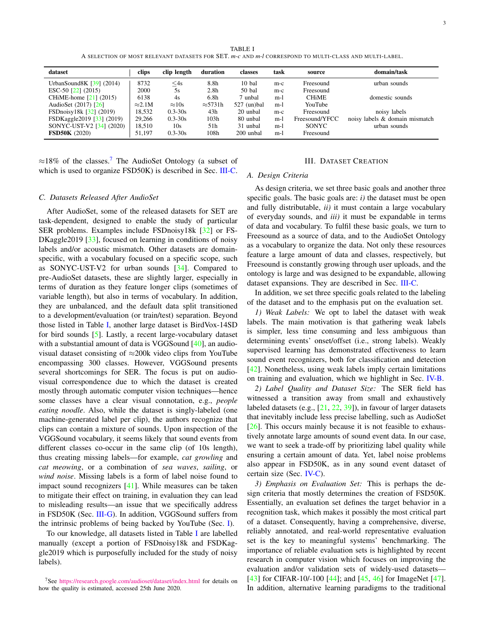TABLE I A SELECTION OF MOST RELEVANT DATASETS FOR SET. *m-c* AND *m-l* CORRESPOND TO MULTI-CLASS AND MULTI-LABEL.

<span id="page-2-1"></span>

| dataset                         | clips          | clip length   | duration         | classes       | task  | source         | domain/task                    |
|---------------------------------|----------------|---------------|------------------|---------------|-------|----------------|--------------------------------|
| UrbanSound8K [39] (2014)        | 8732           | $\leq$ 4s     | 8.8h             | $10$ bal      | $m-c$ | Freesound      | urban sounds                   |
| ESC-50 $\left[22\right]$ (2015) | 2000           | 5s            | 2.8 <sub>h</sub> | 50 bal        | $m-c$ | Freesound      |                                |
| CHiME-home [21] (2015)          | 6138           | 4s            | 6.8 <sub>h</sub> | 7 unbal       | $m-1$ | <b>CHIME</b>   | domestic sounds                |
| AudioSet (2017) [26]            | $\approx 2.1M$ | $\approx 10s$ | $\approx$ 5731h  | $527$ (un)bal | $m-1$ | YouTube        |                                |
| FSDnoisy18k [32] (2019)         | 18,532         | $0.3 - 30s$   | 43h              | 20 unbal      | $m-c$ | Freesound      | noisy labels                   |
| FSDKaggle2019 [33] (2019)       | 29,266         | $0.3 - 30s$   | 103h             | 80 unbal      | $m-1$ | Freesound/YFCC | noisy labels & domain mismatch |
| SONYC-UST-V2 [34] (2020)        | 18,510         | 10s           | 51h              | 31 unbal      | $m-1$ | SONYC.         | urban sounds                   |
| <b>FSD50K</b> (2020)            | 51.197         | $0.3 - 30s$   | 108h             | 200 unbal     | $m-1$ | Freesound      |                                |

 $\approx$ 18% of the classes.<sup>[7](#page-2-2)</sup> The AudioSet Ontology (a subset of which is used to organize FSD50K) is described in Sec. [III-C.](#page-3-0)

#### *C. Datasets Released After AudioSet*

After AudioSet, some of the released datasets for SET are task-dependent, designed to enable the study of particular SER problems. Examples include FSDnoisy18k [\[32\]](#page-21-5) or FS-DKaggle2019 [\[33\]](#page-21-6), focused on learning in conditions of noisy labels and/or acoustic mismatch. Other datasets are domainspecific, with a vocabulary focused on a specific scope, such as SONYC-UST-V2 for urban sounds [\[34\]](#page-21-0). Compared to pre-AudioSet datasets, these are slightly larger, especially in terms of duration as they feature longer clips (sometimes of variable length), but also in terms of vocabulary. In addition, they are unbalanced, and the default data split transitioned to a development/evaluation (or train/test) separation. Beyond those listed in Table [I,](#page-2-1) another large dataset is BirdVox-14SD for bird sounds [\[5\]](#page-20-3). Lastly, a recent large-vocabulary dataset with a substantial amount of data is VGGSound [\[40\]](#page-21-7), an audiovisual dataset consisting of  $\approx$ 200k video clips from YouTube encompassing 300 classes. However, VGGSound presents several shortcomings for SER. The focus is put on audiovisual correspondence due to which the dataset is created mostly through automatic computer vision techniques—hence some classes have a clear visual connotation, e.g., *people eating noodle*. Also, while the dataset is singly-labeled (one machine-generated label per clip), the authors recognize that clips can contain a mixture of sounds. Upon inspection of the VGGSound vocabulary, it seems likely that sound events from different classes co-occur in the same clip (of 10s length), thus creating missing labels—for example, *cat growling* and *cat meowing*, or a combination of *sea waves*, *sailing*, or *wind noise*. Missing labels is a form of label noise found to impact sound recognizers [\[41\]](#page-21-8). While measures can be taken to mitigate their effect on training, in evaluation they can lead to misleading results—an issue that we specifically address in FSD50K (Sec. [III-G\)](#page-7-0). In addition, VGGSound suffers from the intrinsic problems of being backed by YouTube (Sec. [I\)](#page-0-3).

To our knowledge, all datasets listed in Table [I](#page-2-1) are labelled manually (except a portion of FSDnoisy18k and FSDKaggle2019 which is purposefully included for the study of noisy labels).

## III. DATASET CREATION

#### <span id="page-2-3"></span><span id="page-2-0"></span>*A. Design Criteria*

As design criteria, we set three basic goals and another three specific goals. The basic goals are: *i)* the dataset must be open and fully distributable, *ii)* it must contain a large vocabulary of everyday sounds, and *iii)* it must be expandable in terms of data and vocabulary. To fulfil these basic goals, we turn to Freesound as a source of data, and to the AudioSet Ontology as a vocabulary to organize the data. Not only these resources feature a large amount of data and classes, respectively, but Freesound is constantly growing through user uploads, and the ontology is large and was designed to be expandable, allowing dataset expansions. They are described in Sec. [III-C.](#page-3-0)

In addition, we set three specific goals related to the labeling of the dataset and to the emphasis put on the evaluation set.

*1) Weak Labels:* We opt to label the dataset with weak labels. The main motivation is that gathering weak labels is simpler, less time consuming and less ambiguous than determining events' onset/offset (i.e., strong labels). Weakly supervised learning has demonstrated effectiveness to learn sound event recognizers, both for classification and detection [\[42\]](#page-21-9). Nonetheless, using weak labels imply certain limitations on training and evaluation, which we highlight in Sec. [IV-B.](#page-11-2)

*2) Label Quality and Dataset Size:* The SER field has witnessed a transition away from small and exhaustively labeled datasets (e.g.,  $[21, 22, 39]$  $[21, 22, 39]$  $[21, 22, 39]$  $[21, 22, 39]$  $[21, 22, 39]$ ), in favour of larger datasets that inevitably include less precise labelling, such as AudioSet [\[26\]](#page-20-22). This occurs mainly because it is not feasible to exhaustively annotate large amounts of sound event data. In our case, we want to seek a trade-off by prioritizing label quality while ensuring a certain amount of data. Yet, label noise problems also appear in FSD50K, as in any sound event dataset of certain size (Sec. [IV-C\)](#page-13-0).

*3) Emphasis on Evaluation Set:* This is perhaps the design criteria that mostly determines the creation of FSD50K. Essentially, an evaluation set defines the target behavior in a recognition task, which makes it possibly the most critical part of a dataset. Consequently, having a comprehensive, diverse, reliably annotated, and real-world representative evaluation set is the key to meaningful systems' benchmarking. The importance of reliable evaluation sets is highlighted by recent research in computer vision which focuses on improving the evaluation and/or validation sets of widely-used datasets— [\[43\]](#page-21-10) for CIFAR-10/-100 [\[44\]](#page-21-11); and [\[45,](#page-21-12) [46\]](#page-21-13) for ImageNet [\[47\]](#page-21-14). In addition, alternative learning paradigms to the traditional

<span id="page-2-2"></span><sup>7</sup>See <https://research.google.com/audioset/dataset/index.html> for details on how the quality is estimated, accessed 25th June 2020.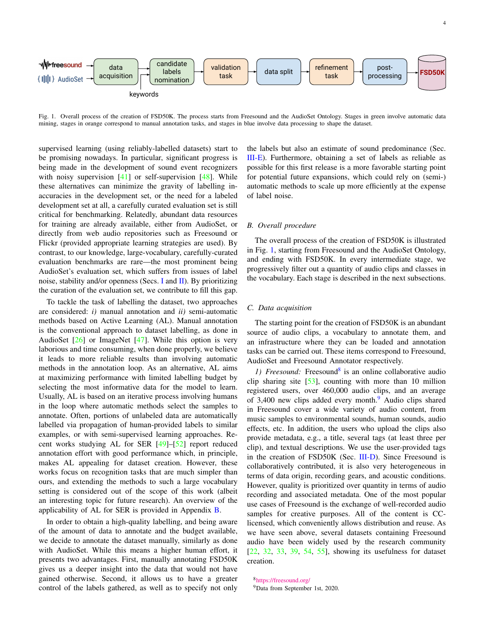

<span id="page-3-1"></span>Fig. 1. Overall process of the creation of FSD50K. The process starts from Freesound and the AudioSet Ontology. Stages in green involve automatic data mining, stages in orange correspond to manual annotation tasks, and stages in blue involve data processing to shape the dataset.

supervised learning (using reliably-labelled datasets) start to be promising nowadays. In particular, significant progress is being made in the development of sound event recognizers with noisy supervision  $[41]$  or self-supervision  $[48]$ . While these alternatives can minimize the gravity of labelling inaccuracies in the development set, or the need for a labeled development set at all, a carefully curated evaluation set is still critical for benchmarking. Relatedly, abundant data resources for training are already available, either from AudioSet, or directly from web audio repositories such as Freesound or Flickr (provided appropriate learning strategies are used). By contrast, to our knowledge, large-vocabulary, carefully-curated evaluation benchmarks are rare—the most prominent being AudioSet's evaluation set, which suffers from issues of label noise, stability and/or openness (Secs. [I](#page-0-3) and  $\text{II}$ ). By prioritizing the curation of the evaluation set, we contribute to fill this gap.

To tackle the task of labelling the dataset, two approaches are considered: *i)* manual annotation and *ii)* semi-automatic methods based on Active Learning (AL). Manual annotation is the conventional approach to dataset labelling, as done in AudioSet  $[26]$  or ImageNet  $[47]$ . While this option is very laborious and time consuming, when done properly, we believe it leads to more reliable results than involving automatic methods in the annotation loop. As an alternative, AL aims at maximizing performance with limited labelling budget by selecting the most informative data for the model to learn. Usually, AL is based on an iterative process involving humans in the loop where automatic methods select the samples to annotate. Often, portions of unlabeled data are automatically labelled via propagation of human-provided labels to similar examples, or with semi-supervised learning approaches. Recent works studying AL for SER [\[49\]](#page-21-16)–[\[52\]](#page-21-17) report reduced annotation effort with good performance which, in principle, makes AL appealing for dataset creation. However, these works focus on recognition tasks that are much simpler than ours, and extending the methods to such a large vocabulary setting is considered out of the scope of this work (albeit an interesting topic for future research). An overview of the applicability of AL for SER is provided in Appendix [B.](#page-19-0)

In order to obtain a high-quality labelling, and being aware of the amount of data to annotate and the budget available, we decide to annotate the dataset manually, similarly as done with AudioSet. While this means a higher human effort, it presents two advantages. First, manually annotating FSD50K gives us a deeper insight into the data that would not have gained otherwise. Second, it allows us to have a greater control of the labels gathered, as well as to specify not only

the labels but also an estimate of sound predominance (Sec. [III-E\)](#page-4-0). Furthermore, obtaining a set of labels as reliable as possible for this first release is a more favorable starting point for potential future expansions, which could rely on (semi-) automatic methods to scale up more efficiently at the expense of label noise.

## *B. Overall procedure*

The overall process of the creation of FSD50K is illustrated in Fig. [1,](#page-3-1) starting from Freesound and the AudioSet Ontology, and ending with FSD50K. In every intermediate stage, we progressively filter out a quantity of audio clips and classes in the vocabulary. Each stage is described in the next subsections.

#### <span id="page-3-0"></span>*C. Data acquisition*

The starting point for the creation of FSD50K is an abundant source of audio clips, a vocabulary to annotate them, and an infrastructure where they can be loaded and annotation tasks can be carried out. These items correspond to Freesound, AudioSet and Freesound Annotator respectively.

1) Freesound: Freesound<sup>[8](#page-3-2)</sup> is an online collaborative audio clip sharing site [\[53\]](#page-21-18), counting with more than 10 million registered users, over 460,000 audio clips, and an average of 3,400 new clips added every month.<sup>[9](#page-3-3)</sup> Audio clips shared in Freesound cover a wide variety of audio content, from music samples to environmental sounds, human sounds, audio effects, etc. In addition, the users who upload the clips also provide metadata, e.g., a title, several tags (at least three per clip), and textual descriptions. We use the user-provided tags in the creation of FSD50K (Sec. [III-D\)](#page-4-1). Since Freesound is collaboratively contributed, it is also very heterogeneous in terms of data origin, recording gears, and acoustic conditions. However, quality is prioritized over quantity in terms of audio recording and associated metadata. One of the most popular use cases of Freesound is the exchange of well-recorded audio samples for creative purposes. All of the content is CClicensed, which conveniently allows distribution and reuse. As we have seen above, several datasets containing Freesound audio have been widely used by the research community [\[22,](#page-20-24) [32,](#page-21-5) [33,](#page-21-6) [39,](#page-21-4) [54,](#page-21-19) [55\]](#page-21-20), showing its usefulness for dataset creation.

<span id="page-3-3"></span><span id="page-3-2"></span><sup>8</sup><https://freesound.org/> <sup>9</sup>Data from September 1st, 2020.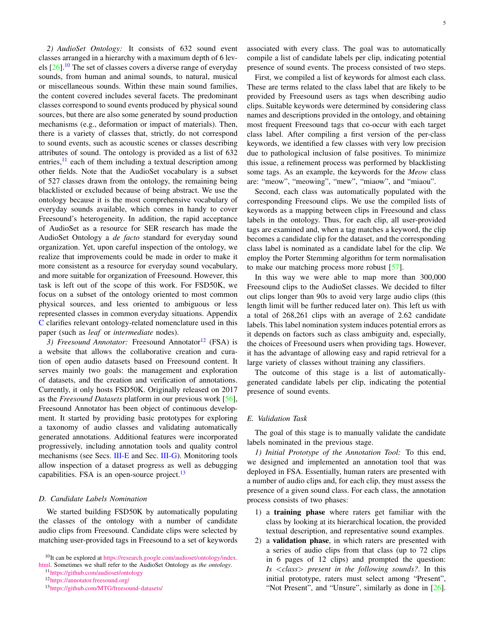*2) AudioSet Ontology:* It consists of 632 sound event classes arranged in a hierarchy with a maximum depth of 6 levels  $[26]$ .<sup>[10](#page-4-2)</sup> The set of classes covers a diverse range of everyday sounds, from human and animal sounds, to natural, musical or miscellaneous sounds. Within these main sound families, the content covered includes several facets. The predominant classes correspond to sound events produced by physical sound sources, but there are also some generated by sound production mechanisms (e.g., deformation or impact of materials). Then, there is a variety of classes that, strictly, do not correspond to sound events, such as acoustic scenes or classes describing attributes of sound. The ontology is provided as a list of 632 entries, $^{11}$  $^{11}$  $^{11}$  each of them including a textual description among other fields. Note that the AudioSet vocabulary is a subset of 527 classes drawn from the ontology, the remaining being blacklisted or excluded because of being abstract. We use the ontology because it is the most comprehensive vocabulary of everyday sounds available, which comes in handy to cover Freesound's heterogeneity. In addition, the rapid acceptance of AudioSet as a resource for SER research has made the AudioSet Ontology a *de facto* standard for everyday sound organization. Yet, upon careful inspection of the ontology, we realize that improvements could be made in order to make it more consistent as a resource for everyday sound vocabulary, and more suitable for organization of Freesound. However, this task is left out of the scope of this work. For FSD50K, we focus on a subset of the ontology oriented to most common physical sources, and less oriented to ambiguous or less represented classes in common everyday situations. Appendix [C](#page-19-1) clarifies relevant ontology-related nomenclature used in this paper (such as *leaf* or *intermediate* nodes).

3) *Freesound Annotator:* Freesound Annotator<sup>[12](#page-4-4)</sup> (FSA) is a website that allows the collaborative creation and curation of open audio datasets based on Freesound content. It serves mainly two goals: the management and exploration of datasets, and the creation and verification of annotations. Currently, it only hosts FSD50K. Originally released on 2017 as the *Freesound Datasets* platform in our previous work [\[56\]](#page-21-21), Freesound Annotator has been object of continuous development. It started by providing basic prototypes for exploring a taxonomy of audio classes and validating automatically generated annotations. Additional features were incorporated progressively, including annotation tools and quality control mechanisms (see Secs. [III-E](#page-4-0) and Sec. [III-G\)](#page-7-0). Monitoring tools allow inspection of a dataset progress as well as debugging capabilities. FSA is an open-source project. $13$ 

#### <span id="page-4-1"></span>*D. Candidate Labels Nomination*

We started building FSD50K by automatically populating the classes of the ontology with a number of candidate audio clips from Freesound. Candidate clips were selected by matching user-provided tags in Freesound to a set of keywords associated with every class. The goal was to automatically compile a list of candidate labels per clip, indicating potential presence of sound events. The process consisted of two steps.

First, we compiled a list of keywords for almost each class. These are terms related to the class label that are likely to be provided by Freesound users as tags when describing audio clips. Suitable keywords were determined by considering class names and descriptions provided in the ontology, and obtaining most frequent Freesound tags that co-occur with each target class label. After compiling a first version of the per-class keywords, we identified a few classes with very low precision due to pathological inclusion of false positives. To minimize this issue, a refinement process was performed by blacklisting some tags. As an example, the keywords for the *Meow* class are: "meow", "meowing", "mew", "miaow", and "miaou".

Second, each class was automatically populated with the corresponding Freesound clips. We use the compiled lists of keywords as a mapping between clips in Freesound and class labels in the ontology. Thus, for each clip, all user-provided tags are examined and, when a tag matches a keyword, the clip becomes a candidate clip for the dataset, and the corresponding class label is nominated as a candidate label for the clip. We employ the Porter Stemming algorithm for term normalisation to make our matching process more robust [\[57\]](#page-21-22).

In this way we were able to map more than 300,000 Freesound clips to the AudioSet classes. We decided to filter out clips longer than 90s to avoid very large audio clips (this length limit will be further reduced later on). This left us with a total of 268,261 clips with an average of 2.62 candidate labels. This label nomination system induces potential errors as it depends on factors such as class ambiguity and, especially, the choices of Freesound users when providing tags. However, it has the advantage of allowing easy and rapid retrieval for a large variety of classes without training any classifiers.

The outcome of this stage is a list of automaticallygenerated candidate labels per clip, indicating the potential presence of sound events.

## <span id="page-4-0"></span>*E. Validation Task*

The goal of this stage is to manually validate the candidate labels nominated in the previous stage.

*1) Initial Prototype of the Annotation Tool:* To this end, we designed and implemented an annotation tool that was deployed in FSA. Essentially, human raters are presented with a number of audio clips and, for each clip, they must assess the presence of a given sound class. For each class, the annotation process consists of two phases:

- 1) a training phase where raters get familiar with the class by looking at its hierarchical location, the provided textual description, and representative sound examples.
- 2) a validation phase, in which raters are presented with a series of audio clips from that class (up to 72 clips in 6 pages of 12 clips) and prompted the question: *Is* <*class*> *present in the following sounds?*. In this initial prototype, raters must select among "Present", "Not Present", and "Unsure", similarly as done in [\[26\]](#page-20-22).

<span id="page-4-2"></span><sup>10</sup>It can be explored at [https://research.google.com/audioset/ontology/index.](https://research.google.com/audioset/ontology/index.html)

[html.](https://research.google.com/audioset/ontology/index.html) Sometimes we shall refer to the AudioSet Ontology as *the ontology*.

<span id="page-4-3"></span><sup>11</sup><https://github.com/audioset/ontology>

<span id="page-4-4"></span><sup>12</sup><https://annotator.freesound.org/>

<span id="page-4-5"></span><sup>13</sup><https://github.com/MTG/freesound-datasets/>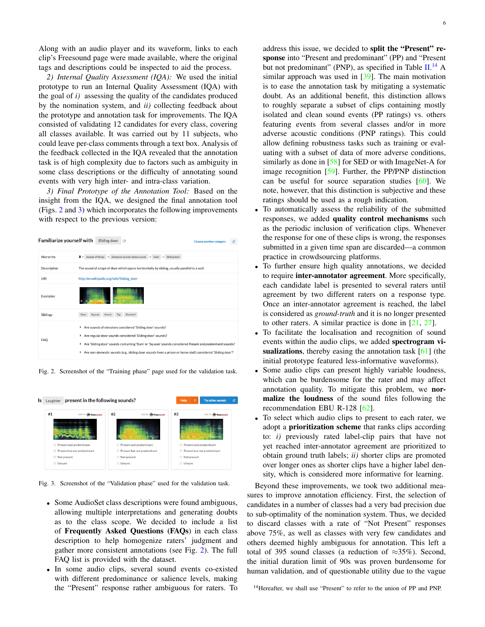Along with an audio player and its waveform, links to each clip's Freesound page were made available, where the original tags and descriptions could be inspected to aid the process.

*2) Internal Quality Assessment (IQA):* We used the initial prototype to run an Internal Quality Assessment (IQA) with the goal of *i)* assessing the quality of the candidates produced by the nomination system, and *ii)* collecting feedback about the prototype and annotation task for improvements. The IQA consisted of validating 12 candidates for every class, covering all classes available. It was carried out by 11 subjects, who could leave per-class comments through a text box. Analysis of the feedback collected in the IQA revealed that the annotation task is of high complexity due to factors such as ambiguity in some class descriptions or the difficulty of annotating sound events with very high inter- and intra-class variation.

*3) Final Prototype of the Annotation Tool:* Based on the insight from the IQA, we designed the final annotation tool (Figs. [2](#page-5-0) and [3\)](#page-5-1) which incorporates the following improvements with respect to the previous version:

| <b>Familiarize yourself with</b> | Sliding door<br>$\overline{\mathscr{L}}$                                                                                                                                                                                                                                                                                                                               | Choose another category |  |
|----------------------------------|------------------------------------------------------------------------------------------------------------------------------------------------------------------------------------------------------------------------------------------------------------------------------------------------------------------------------------------------------------------------|-------------------------|--|
| Hierarchy                        | Sounds of things > Domestic sounds, home sounds > Door ><br>효 ><br>Sliding door                                                                                                                                                                                                                                                                                        |                         |  |
| Description                      | The sound of a type of door which opens horizontally by sliding, usually parallel to a wall.                                                                                                                                                                                                                                                                           |                         |  |
| URI                              | http://en.wikipedia.org/wiki/Sliding_door                                                                                                                                                                                                                                                                                                                              |                         |  |
| Examples                         |                                                                                                                                                                                                                                                                                                                                                                        |                         |  |
| <b>Siblings</b>                  | Doorbell<br>Squeak<br>Knock<br>Tap<br>Slam                                                                                                                                                                                                                                                                                                                             |                         |  |
| <b>FAQ</b>                       | Are sounds of elevators considered 'Sliding door' sounds?<br>٠<br>Are regular door sounds considered 'Sliding door' sounds?<br>٠<br>Are 'Sliding door' sounds containing 'Slam' or 'Squeak' sounds considered Present and predominant sounds?<br>٠<br>Are non-domestic sounds (e.g., sliding door sounds from a prison or horse stall) considered 'Sliding door'?<br>٠ |                         |  |

<span id="page-5-0"></span>Fig. 2. Screenshot of the "Training phase" page used for the validation task.



Fig. 3. Screenshot of the "Validation phase" used for the validation task.

- <span id="page-5-1"></span>• Some AudioSet class descriptions were found ambiguous, allowing multiple interpretations and generating doubts as to the class scope. We decided to include a list of Frequently Asked Questions (FAQs) in each class description to help homogenize raters' judgment and gather more consistent annotations (see Fig. [2\)](#page-5-0). The full FAQ list is provided with the dataset.
- In some audio clips, several sound events co-existed with different predominance or salience levels, making the "Present" response rather ambiguous for raters. To

address this issue, we decided to split the "Present" response into "Present and predominant" (PP) and "Present but not predominant" (PNP), as specified in Table [II.](#page-6-0)<sup>[14](#page-5-2)</sup> A similar approach was used in [\[39\]](#page-21-4). The main motivation is to ease the annotation task by mitigating a systematic doubt. As an additional benefit, this distinction allows to roughly separate a subset of clips containing mostly isolated and clean sound events (PP ratings) vs. others featuring events from several classes and/or in more adverse acoustic conditions (PNP ratings). This could allow defining robustness tasks such as training or evaluating with a subset of data of more adverse conditions, similarly as done in [\[58\]](#page-21-23) for SED or with ImageNet-A for image recognition [\[59\]](#page-21-24). Further, the PP/PNP distinction can be useful for source separation studies [\[60\]](#page-21-25). We note, however, that this distinction is subjective and these ratings should be used as a rough indication.

- To automatically assess the reliability of the submitted responses, we added quality control mechanisms such as the periodic inclusion of verification clips. Whenever the response for one of these clips is wrong, the responses submitted in a given time span are discarded—a common practice in crowdsourcing platforms.
- To further ensure high quality annotations, we decided to require inter-annotator agreement. More specifically, each candidate label is presented to several raters until agreement by two different raters on a response type. Once an inter-annotator agreement is reached, the label is considered as *ground-truth* and it is no longer presented to other raters. A similar practice is done in [\[21,](#page-20-18) [27\]](#page-20-23).
- To facilitate the localisation and recognition of sound events within the audio clips, we added spectrogram visualizations, thereby easing the annotation task  $[61]$  (the initial prototype featured less-informative waveforms).
- Some audio clips can present highly variable loudness, which can be burdensome for the rater and may affect annotation quality. To mitigate this problem, we normalize the loudness of the sound files following the recommendation EBU R-128 [\[62\]](#page-21-27).
- To select which audio clips to present to each rater, we adopt a prioritization scheme that ranks clips according to: *i)* previously rated label-clip pairs that have not yet reached inter-annotator agreement are prioritized to obtain ground truth labels; *ii)* shorter clips are promoted over longer ones as shorter clips have a higher label density, which is considered more informative for learning.

Beyond these improvements, we took two additional measures to improve annotation efficiency. First, the selection of candidates in a number of classes had a very bad precision due to sub-optimality of the nomination system. Thus, we decided to discard classes with a rate of "Not Present" responses above 75%, as well as classes with very few candidates and others deemed highly ambiguous for annotation. This left a total of 395 sound classes (a reduction of  $\approx 35\%$ ). Second, the initial duration limit of 90s was proven burdensome for human validation, and of questionable utility due to the vague

<span id="page-5-2"></span><sup>14</sup>Hereafter, we shall use "Present" to refer to the union of PP and PNP.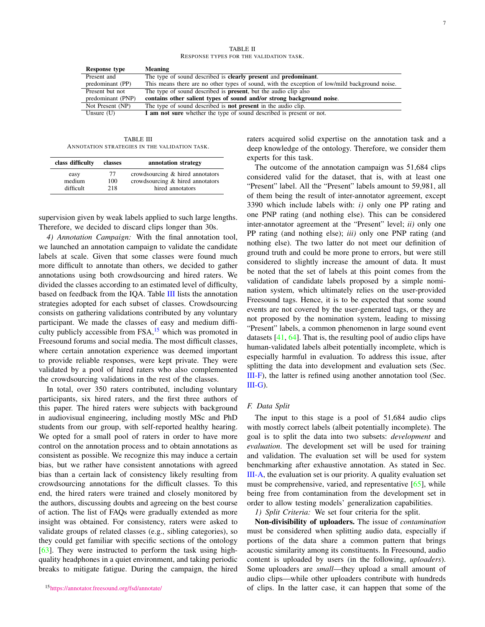TABLE II RESPONSE TYPES FOR THE VALIDATION TASK.

<span id="page-6-0"></span>

| Meaning                                                                                        |
|------------------------------------------------------------------------------------------------|
| The type of sound described is <b>clearly present</b> and <b>predominant</b> .                 |
| This means there are no other types of sound, with the exception of low/mild background noise. |
| The type of sound described is <b>present</b> , but the audio clip also                        |
| contains other salient types of sound and/or strong background noise.                          |
| The type of sound described is <b>not present</b> in the audio clip.                           |
| I am not sure whether the type of sound described is present or not.                           |
|                                                                                                |

TABLE III ANNOTATION STRATEGIES IN THE VALIDATION TASK.

<span id="page-6-1"></span>

| class difficulty | classes | annotation strategy              |
|------------------|---------|----------------------------------|
| easy             | 77      | crowdsourcing & hired annotators |
| medium           | 100     | crowdsourcing & hired annotators |
| difficult        | 218     | hired annotators                 |

supervision given by weak labels applied to such large lengths. Therefore, we decided to discard clips longer than 30s.

*4) Annotation Campaign:* With the final annotation tool, we launched an annotation campaign to validate the candidate labels at scale. Given that some classes were found much more difficult to annotate than others, we decided to gather annotations using both crowdsourcing and hired raters. We divided the classes according to an estimated level of difficulty, based on feedback from the IQA. Table [III](#page-6-1) lists the annotation strategies adopted for each subset of classes. Crowdsourcing consists on gathering validations contributed by any voluntary participant. We made the classes of easy and medium difficulty publicly accessible from  $FSA$ , <sup>[15](#page-6-2)</sup> which was promoted in Freesound forums and social media. The most difficult classes, where certain annotation experience was deemed important to provide reliable responses, were kept private. They were validated by a pool of hired raters who also complemented the crowdsourcing validations in the rest of the classes.

<span id="page-6-2"></span>In total, over 350 raters contributed, including voluntary participants, six hired raters, and the first three authors of this paper. The hired raters were subjects with background in audiovisual engineering, including mostly MSc and PhD students from our group, with self-reported healthy hearing. We opted for a small pool of raters in order to have more control on the annotation process and to obtain annotations as consistent as possible. We recognize this may induce a certain bias, but we rather have consistent annotations with agreed bias than a certain lack of consistency likely resulting from crowdsourcing annotations for the difficult classes. To this end, the hired raters were trained and closely monitored by the authors, discussing doubts and agreeing on the best course of action. The list of FAQs were gradually extended as more insight was obtained. For consistency, raters were asked to validate groups of related classes (e.g., sibling categories), so they could get familiar with specific sections of the ontology [\[63\]](#page-21-28). They were instructed to perform the task using highquality headphones in a quiet environment, and taking periodic breaks to mitigate fatigue. During the campaign, the hired raters acquired solid expertise on the annotation task and a deep knowledge of the ontology. Therefore, we consider them experts for this task.

The outcome of the annotation campaign was 51,684 clips considered valid for the dataset, that is, with at least one "Present" label. All the "Present" labels amount to 59,981, all of them being the result of inter-annotator agreement, except 3390 which include labels with: *i)* only one PP rating and one PNP rating (and nothing else). This can be considered inter-annotator agreement at the "Present" level; *ii)* only one PP rating (and nothing else); *iii)* only one PNP rating (and nothing else). The two latter do not meet our definition of ground truth and could be more prone to errors, but were still considered to slightly increase the amount of data. It must be noted that the set of labels at this point comes from the validation of candidate labels proposed by a simple nomination system, which ultimately relies on the user-provided Freesound tags. Hence, it is to be expected that some sound events are not covered by the user-generated tags, or they are not proposed by the nomination system, leading to missing "Present" labels, a common phenomenon in large sound event datasets [\[41,](#page-21-8) [64\]](#page-21-29). That is, the resulting pool of audio clips have human-validated labels albeit potentially incomplete, which is especially harmful in evaluation. To address this issue, after splitting the data into development and evaluation sets (Sec. [III-F\)](#page-6-3), the latter is refined using another annotation tool (Sec. [III-G\)](#page-7-0).

#### <span id="page-6-3"></span>*F. Data Split*

The input to this stage is a pool of 51,684 audio clips with mostly correct labels (albeit potentially incomplete). The goal is to split the data into two subsets: *development* and *evaluation*. The development set will be used for training and validation. The evaluation set will be used for system benchmarking after exhaustive annotation. As stated in Sec. [III-A,](#page-2-3) the evaluation set is our priority. A quality evaluation set must be comprehensive, varied, and representative  $[65]$ , while being free from contamination from the development set in order to allow testing models' generalization capabilities.

*1) Split Criteria:* We set four criteria for the split.

Non-divisibility of uploaders. The issue of *contamination* must be considered when splitting audio data, especially if portions of the data share a common pattern that brings acoustic similarity among its constituents. In Freesound, audio content is uploaded by users (in the following, *uploaders*). Some uploaders are *small*—they upload a small amount of audio clips—while other uploaders contribute with hundreds of clips. In the latter case, it can happen that some of the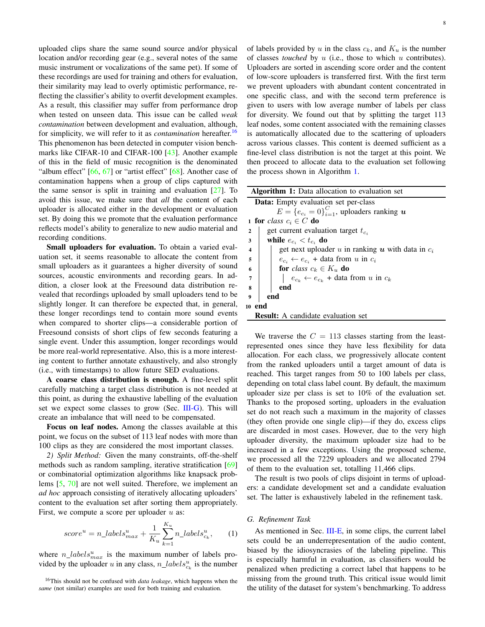uploaded clips share the same sound source and/or physical location and/or recording gear (e.g., several notes of the same music instrument or vocalizations of the same pet). If some of these recordings are used for training and others for evaluation, their similarity may lead to overly optimistic performance, reflecting the classifier's ability to overfit development examples. As a result, this classifier may suffer from performance drop when tested on unseen data. This issue can be called *weak contamination* between development and evaluation, although, for simplicity, we will refer to it as *contamination* hereafter.[16](#page-7-1) This phenomenon has been detected in computer vision benchmarks like CIFAR-10 and CIFAR-100 [\[43\]](#page-21-10). Another example of this in the field of music recognition is the denominated "album effect"  $[66, 67]$  $[66, 67]$  $[66, 67]$  or "artist effect"  $[68]$ . Another case of contamination happens when a group of clips captured with the same sensor is split in training and evaluation  $[27]$ . To avoid this issue, we make sure that *all* the content of each uploader is allocated either in the development or evaluation set. By doing this we promote that the evaluation performance reflects model's ability to generalize to new audio material and recording conditions.

Small uploaders for evaluation. To obtain a varied evaluation set, it seems reasonable to allocate the content from small uploaders as it guarantees a higher diversity of sound sources, acoustic environments and recording gears. In addition, a closer look at the Freesound data distribution revealed that recordings uploaded by small uploaders tend to be slightly longer. It can therefore be expected that, in general, these longer recordings tend to contain more sound events when compared to shorter clips—a considerable portion of Freesound consists of short clips of few seconds featuring a single event. Under this assumption, longer recordings would be more real-world representative. Also, this is a more interesting content to further annotate exhaustively, and also strongly (i.e., with timestamps) to allow future SED evaluations.

A coarse class distribution is enough. A fine-level split carefully matching a target class distribution is not needed at this point, as during the exhaustive labelling of the evaluation set we expect some classes to grow (Sec. [III-G\)](#page-7-0). This will create an imbalance that will need to be compensated.

Focus on leaf nodes. Among the classes available at this point, we focus on the subset of 113 leaf nodes with more than 100 clips as they are considered the most important classes.

*2) Split Method:* Given the many constraints, off-the-shelf methods such as random sampling, iterative stratification [\[69\]](#page-21-34) or combinatorial optimization algorithms like knapsack problems [\[5,](#page-20-3) [70\]](#page-21-35) are not well suited. Therefore, we implement an *ad hoc* approach consisting of iteratively allocating uploaders' content to the evaluation set after sorting them appropriately. First, we compute a score per uploader  $u$  as:

$$
score^{u} = n\_labels_{max}^{u} + \frac{1}{K_u} \sum_{k=1}^{K_u} n\_labels_{c_k}^{u}, \qquad (1)
$$

where  $n\_labels_{max}^u$  is the maximum number of labels provided by the uploader u in any class,  $n\_labels_{c_k}^u$  is the number of labels provided by u in the class  $c_k$ , and  $K_u$  is the number of classes *touched* by u (i.e., those to which u contributes). Uploaders are sorted in ascending score order and the content of low-score uploaders is transferred first. With the first term we prevent uploaders with abundant content concentrated in one specific class, and with the second term preference is given to users with low average number of labels per class for diversity. We found out that by splitting the target 113 leaf nodes, some content associated with the remaining classes is automatically allocated due to the scattering of uploaders across various classes. This content is deemed sufficient as a fine-level class distribution is not the target at this point. We then proceed to allocate data to the evaluation set following the process shown in Algorithm [1.](#page-7-2)

<span id="page-7-2"></span>

| <b>Algorithm 1:</b> Data allocation to evaluation set                          |  |  |  |  |
|--------------------------------------------------------------------------------|--|--|--|--|
| <b>Data:</b> Empty evaluation set per-class                                    |  |  |  |  |
| $E = \{e_{c_i} = 0\}_{i=1}^C$ , uploaders ranking u                            |  |  |  |  |
| 1 for class $c_i \in C$ do                                                     |  |  |  |  |
| get current evaluation target $t_{c,i}$<br>$\overline{2}$                      |  |  |  |  |
| while $e_{c_i} < t_{c_i}$ do<br>3                                              |  |  |  |  |
| get next uploader u in ranking u with data in $c_i$<br>$\overline{\mathbf{4}}$ |  |  |  |  |
| $e_{c_i} \leftarrow e_{c_i}$ + data from u in $c_i$<br>5                       |  |  |  |  |
| <b>for</b> class $c_k \in K_u$ do<br>6                                         |  |  |  |  |
| $\left  e_{c_k} \leftarrow e_{c_k}$ + data from u in $c_k$<br>$\overline{7}$   |  |  |  |  |
| $\bf8$<br>end                                                                  |  |  |  |  |
| $\bf{Q}$<br>end                                                                |  |  |  |  |
| 10 end                                                                         |  |  |  |  |
| <b>Result:</b> A candidate evaluation set                                      |  |  |  |  |
|                                                                                |  |  |  |  |

We traverse the  $C = 113$  classes starting from the leastrepresented ones since they have less flexibility for data allocation. For each class, we progressively allocate content from the ranked uploaders until a target amount of data is reached. This target ranges from 50 to 100 labels per class, depending on total class label count. By default, the maximum uploader size per class is set to 10% of the evaluation set. Thanks to the proposed sorting, uploaders in the evaluation set do not reach such a maximum in the majority of classes (they often provide one single clip)—if they do, excess clips are discarded in most cases. However, due to the very high uploader diversity, the maximum uploader size had to be increased in a few exceptions. Using the proposed scheme, we processed all the 7229 uploaders and we allocated 2794 of them to the evaluation set, totalling 11,466 clips.

The result is two pools of clips disjoint in terms of uploaders: a candidate development set and a candidate evaluation set. The latter is exhaustively labeled in the refinement task.

#### <span id="page-7-0"></span>*G. Refinement Task*

As mentioned in Sec. [III-E,](#page-4-0) in some clips, the current label sets could be an underrepresentation of the audio content, biased by the idiosyncrasies of the labeling pipeline. This is especially harmful in evaluation, as classifiers would be penalized when predicting a correct label that happens to be missing from the ground truth. This critical issue would limit the utility of the dataset for system's benchmarking. To address

<span id="page-7-1"></span><sup>16</sup>This should not be confused with *data leakage*, which happens when the *same* (not similar) examples are used for both training and evaluation.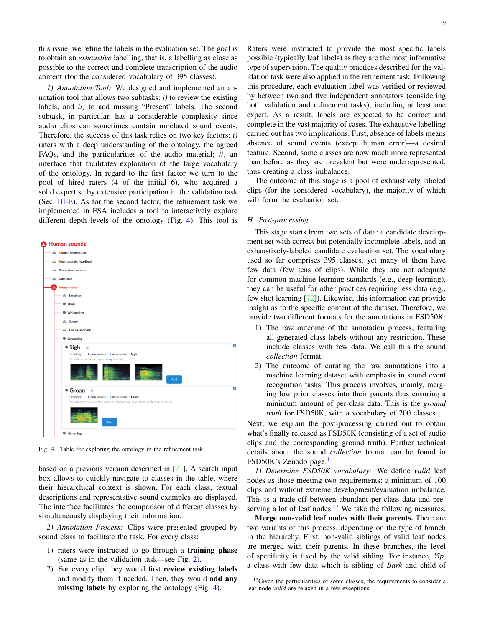this issue, we refine the labels in the evaluation set. The goal is to obtain an *exhaustive* labelling, that is, a labelling as close as possible to the correct and complete transcription of the audio content (for the considered vocabulary of 395 classes).

*1) Annotation Tool:* We designed and implemented an annotation tool that allows two subtasks: *i)* to review the existing labels, and *ii)* to add missing "Present" labels. The second subtask, in particular, has a considerable complexity since audio clips can sometimes contain unrelated sound events. Therefore, the success of this task relies on two key factors: *i)* raters with a deep understanding of the ontology, the agreed FAQs, and the particularities of the audio material; *ii)* an interface that facilitates exploration of the large vocabulary of the ontology. In regard to the first factor we turn to the pool of hired raters (4 of the initial 6), who acquired a solid expertise by extensive participation in the validation task (Sec.  $III-E$ ). As for the second factor, the refinement task we implemented in FSA includes a tool to interactively explore different depth levels of the ontology (Fig. [4\)](#page-8-0). This tool is



<span id="page-8-0"></span>Fig. 4. Table for exploring the ontology in the refinement task.

based on a previous version described in [\[71\]](#page-21-36). A search input box allows to quickly navigate to classes in the table, where their hierarchical context is shown. For each class, textual descriptions and representative sound examples are displayed. The interface facilitates the comparison of different classes by simultaneously displaying their information.

*2) Annotation Process:* Clips were presented grouped by sound class to facilitate the task. For every class:

- 1) raters were instructed to go through a training phase (same as in the validation task—see Fig. [2\)](#page-5-0).
- 2) For every clip, they would first review existing labels and modify them if needed. Then, they would add any missing labels by exploring the ontology (Fig. [4\)](#page-8-0).

Raters were instructed to provide the most specific labels possible (typically leaf labels) as they are the most informative type of supervision. The quality practices described for the validation task were also applied in the refinement task. Following this procedure, each evaluation label was verified or reviewed by between two and five independent annotators (considering both validation and refinement tasks), including at least one expert. As a result, labels are expected to be correct and complete in the vast majority of cases. The exhaustive labelling carried out has two implications. First, absence of labels means absence of sound events (except human error)—a desired feature. Second, some classes are now much more represented than before as they are prevalent but were underrepresented, thus creating a class imbalance.

The outcome of this stage is a pool of exhaustively labeled clips (for the considered vocabulary), the majority of which will form the evaluation set.

#### <span id="page-8-2"></span>*H. Post-processing*

This stage starts from two sets of data: a candidate development set with correct but potentially incomplete labels, and an exhaustively-labeled candidate evaluation set. The vocabulary used so far comprises 395 classes, yet many of them have few data (few tens of clips). While they are not adequate for common machine learning standards (e.g., deep learning), they can be useful for other practices requiring less data (e.g., few shot learning [\[72\]](#page-21-37)). Likewise, this information can provide insight as to the specific content of the dataset. Therefore, we provide two different formats for the annotations in FSD50K:

- 1) The raw outcome of the annotation process, featuring all generated class labels without any restriction. These include classes with few data. We call this the sound *collection* format.
- 2) The outcome of curating the raw annotations into a machine learning dataset with emphasis in sound event recognition tasks. This process involves, mainly, merging low prior classes into their parents thus ensuring a minimum amount of per-class data. This is the *ground truth* for FSD50K, with a vocabulary of 200 classes.

Next, we explain the post-processing carried out to obtain what's finally released as FSD50K (consisting of a set of audio clips and the corresponding ground truth). Further technical details about the sound *collection* format can be found in FSD50K's Zenodo page.<sup>[4](#page-1-0)</sup>

*1) Determine FSD50K vocabulary:* We define *valid* leaf nodes as those meeting two requirements: a minimum of 100 clips and without extreme development/evaluation imbalance. This is a trade-off between abundant per-class data and pre-serving a lot of leaf nodes.<sup>[17](#page-8-1)</sup> We take the following measures.

Merge non-valid leaf nodes with their parents. There are two variants of this process, depending on the type of branch in the hierarchy. First, non-valid siblings of valid leaf nodes are merged with their parents. In these branches, the level of specificity is fixed by the valid sibling. For instance, *Yip*, a class with few data which is sibling of *Bark* and child of

<span id="page-8-1"></span><sup>17</sup>Given the particularities of some classes, the requirements to consider a leaf node *valid* are relaxed in a few exceptions.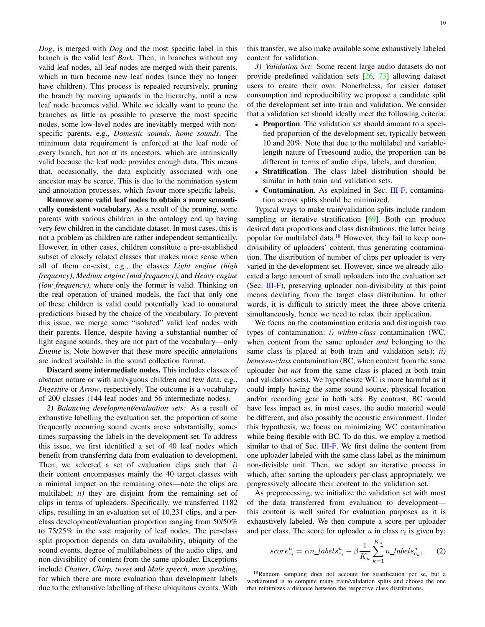*Dog*, is merged with *Dog* and the most specific label in this branch is the valid leaf *Bark*. Then, in branches without any valid leaf nodes, all leaf nodes are merged with their parents, which in turn become new leaf nodes (since they no longer have children). This process is repeated recursively, pruning the branch by moving upwards in the hierarchy, until a new leaf node becomes valid. While we ideally want to prune the branches as little as possible to preserve the most specific nodes, some low-level nodes are inevitably merged with nonspecific parents, e.g., *Domestic sounds, home sounds*. The minimum data requirement is enforced at the leaf node of every branch, but not at its ancestors, which are intrinsically valid because the leaf node provides enough data. This means that, occasionally, the data explicitly associated with one ancestor may be scarce. This is due to the nomination system and annotation processes, which favour more specific labels.

Remove some valid leaf nodes to obtain a more semantically consistent vocabulary. As a result of the pruning, some parents with various children in the ontology end up having very few children in the candidate dataset. In most cases, this is not a problem as children are rather independent semantically. However, in other cases, children constitute a pre-established subset of closely related classes that makes more sense when all of them co-exist, e.g., the classes *Light engine (high frequency)*, *Medium engine (mid frequency)*, and *Heavy engine (low frequency)*, where only the former is valid. Thinking on the real operation of trained models, the fact that only one of these children is valid could potentially lead to unnatural predictions biased by the choice of the vocabulary. To prevent this issue, we merge some "isolated" valid leaf nodes with their parents. Hence, despite having a substantial number of light engine sounds, they are not part of the vocabulary—only *Engine* is. Note however that these more specific annotations are indeed available in the sound collection format.

Discard some intermediate nodes. This includes classes of abstract nature or with ambiguous children and few data, e.g., *Digestive* or *Arrow*, respectively. The outcome is a vocabulary of 200 classes (144 leaf nodes and 56 intermediate nodes).

*2) Balancing development/evaluation sets:* As a result of exhaustive labelling the evaluation set, the proportion of some frequently occurring sound events arose substantially, sometimes surpassing the labels in the development set. To address this issue, we first identified a set of 40 leaf nodes which benefit from transferring data from evaluation to development. Then, we selected a set of evaluation clips such that: *i)* their content encompasses mainly the 40 target classes with a minimal impact on the remaining ones—note the clips are multilabel; *ii)* they are disjoint from the remaining set of clips in terms of uploaders. Specifically, we transferred 1182 clips, resulting in an evaluation set of 10,231 clips, and a perclass development/evaluation proportion ranging from 50/50% to 75/25% in the vast majority of leaf nodes. The per-class split proportion depends on data availability, ubiquity of the sound events, degree of multilabelness of the audio clips, and non-divisibility of content from the same uploader. Exceptions include *Chatter*, *Chirp, tweet* and *Male speech, man speaking*, for which there are more evaluation than development labels due to the exhaustive labelling of these ubiquitous events. With this transfer, we also make available some exhaustively labeled content for validation.

*3) Validation Set:* Some recent large audio datasets do not provide predefined validation sets [\[26,](#page-20-22) [73\]](#page-21-38) allowing dataset users to create their own. Nonetheless, for easier dataset consumption and reproducibility we propose a candidate split of the development set into train and validation. We consider that a validation set should ideally meet the following criteria:

- Proportion. The validation set should amount to a specified proportion of the development set, typically between 10 and 20%. Note that due to the multilabel and variablelength nature of Freesound audio, the proportion can be different in terms of audio clips, labels, and duration.
- Stratification. The class label distribution should be similar in both train and validation sets.
- Contamination. As explained in Sec. [III-F,](#page-6-3) contamination across splits should be minimized.

Typical ways to make train/validation splits include random sampling or iterative stratification [\[69\]](#page-21-34). Both can produce desired data proportions and class distributions, the latter being popular for multilabel data.<sup>[18](#page-9-0)</sup> However, they fail to keep nondivisibility of uploaders' content, thus generating contamination. The distribution of number of clips per uploader is very varied in the development set. However, since we already allocated a large amount of small uploaders into the evaluation set (Sec. [III-F\)](#page-6-3), preserving uploader non-divisibility at this point means deviating from the target class distribution. In other words, it is difficult to strictly meet the three above criteria simultaneously, hence we need to relax their application.

We focus on the contamination criteria and distinguish two types of contamination: *i) within-class* contamination (WC, when content from the same uploader *and* belonging to the same class is placed at both train and validation sets); *ii) between-class* contamination (BC, when content from the same uploader *but not* from the same class is placed at both train and validation sets). We hypothesize WC is more harmful as it could imply having the same sound source, physical location and/or recording gear in both sets. By contrast, BC would have less impact as, in most cases, the audio material would be different, and also possibly the acoustic environment. Under this hypothesis, we focus on minimizing WC contamination while being flexible with BC. To do this, we employ a method similar to that of Sec. [III-F.](#page-6-3) We first define the content from one uploader labeled with the same class label as the minimum non-divisible unit. Then, we adopt an iterative process in which, after sorting the uploaders per-class appropriately, we progressively allocate their content to the validation set.

As preprocessing, we initialize the validation set with most of the data transferred from evaluation to development this content is well suited for evaluation purposes as it is exhaustively labeled. We then compute a score per uploader and per class. The score for uploader  $u$  in class  $c_i$  is given by:

$$
score_{c_i}^u = \alpha n\_labels_{c_i}^u + \beta \frac{1}{K_u} \sum_{k=1}^{K_u} n\_labels_{c_k}^u,\qquad(2)
$$

<span id="page-9-0"></span><sup>18</sup>Random sampling does not account for stratification per se, but a workaround is to compute many train/validation splits and choose the one that minimizes a distance between the respective class distributions.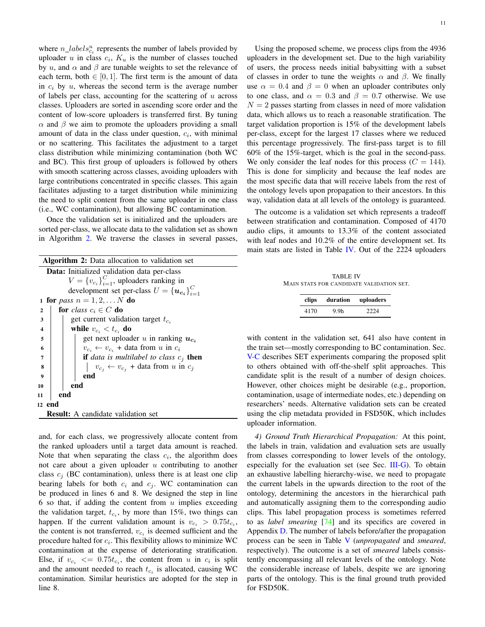where  $n\_labels_{c_i}^u$  represents the number of labels provided by uploader u in class  $c_i$ ,  $K_u$  is the number of classes touched by u, and  $\alpha$  and  $\beta$  are tunable weights to set the relevance of each term, both  $\in [0, 1]$ . The first term is the amount of data in  $c_i$  by  $u$ , whereas the second term is the average number of labels per class, accounting for the scattering of  $u$  across classes. Uploaders are sorted in ascending score order and the content of low-score uploaders is transferred first. By tuning  $\alpha$  and  $\beta$  we aim to promote the uploaders providing a small amount of data in the class under question,  $c_i$ , with minimal or no scattering. This facilitates the adjustment to a target class distribution while minimizing contamination (both WC and BC). This first group of uploaders is followed by others with smooth scattering across classes, avoiding uploaders with large contributions concentrated in specific classes. This again facilitates adjusting to a target distribution while minimizing the need to split content from the same uploader in one class (i.e., WC contamination), but allowing BC contamination.

<span id="page-10-0"></span>Once the validation set is initialized and the uploaders are sorted per-class, we allocate data to the validation set as shown in Algorithm [2.](#page-10-0) We traverse the classes in several passes,

| <b>Algorithm 2:</b> Data allocation to validation set    |  |  |  |  |  |
|----------------------------------------------------------|--|--|--|--|--|
| <b>Data:</b> Initialized validation data per-class       |  |  |  |  |  |
| $V = \{v_{c_i}\}_{i=1}^C$ , uploaders ranking in         |  |  |  |  |  |
| development set per-class $U = \{u_{c_i}\}_{i=1}^C$      |  |  |  |  |  |
| <b>1 for</b> pass $n = 1, 2,  N$ <b>do</b>               |  |  |  |  |  |
| for class $c_i \in C$ do<br>$\mathbf{2}$                 |  |  |  |  |  |
| get current validation target $t_{c_i}$<br>3             |  |  |  |  |  |
| while $v_{c_i} < t_{c_i}$ do<br>$\overline{\mathbf{4}}$  |  |  |  |  |  |
| get next uploader u in ranking $u_{c_i}$<br>5            |  |  |  |  |  |
| $v_{c_i} \leftarrow v_{c_i}$ + data from u in $c_i$<br>6 |  |  |  |  |  |
| <b>if</b> data is multilabel to class $c_j$ then<br>7    |  |  |  |  |  |
| $v_{c_i} \leftarrow v_{c_i}$ + data from u in $c_j$<br>8 |  |  |  |  |  |
| end<br>9                                                 |  |  |  |  |  |
| end<br>10                                                |  |  |  |  |  |
| end<br>11                                                |  |  |  |  |  |
| 12 end                                                   |  |  |  |  |  |
| <b>Result:</b> A candidate validation set                |  |  |  |  |  |

and, for each class, we progressively allocate content from the ranked uploaders until a target data amount is reached. Note that when separating the class  $c_i$ , the algorithm does not care about a given uploader  $u$  contributing to another class  $c_i$  (BC contamination), unless there is at least one clip bearing labels for both  $c_i$  and  $c_j$ . WC contamination can be produced in lines 6 and 8. We designed the step in line 6 so that, if adding the content from  $u$  implies exceeding the validation target,  $t_{c_i}$ , by more than 15%, two things can happen. If the current validation amount is  $v_{c_i} > 0.75t_{c_i}$ , the content is not transferred,  $v_{c_i}$  is deemed sufficient and the procedure halted for  $c_i$ . This flexibility allows to minimize WC contamination at the expense of deteriorating stratification. Else, if  $v_{c_i} \leq 0.75 t_{c_i}$ , the content from u in  $c_i$  is split and the amount needed to reach  $t_{c_i}$  is allocated, causing WC contamination. Similar heuristics are adopted for the step in line 8.

Using the proposed scheme, we process clips from the 4936 uploaders in the development set. Due to the high variability of users, the process needs initial babysitting with a subset of classes in order to tune the weights  $\alpha$  and  $\beta$ . We finally use  $\alpha = 0.4$  and  $\beta = 0$  when an uploader contributes only to one class, and  $\alpha = 0.3$  and  $\beta = 0.7$  otherwise. We use  $N = 2$  passes starting from classes in need of more validation data, which allows us to reach a reasonable stratification. The target validation proportion is 15% of the development labels per-class, except for the largest 17 classes where we reduced this percentage progressively. The first-pass target is to fill 60% of the 15%-target, which is the goal in the second-pass. We only consider the leaf nodes for this process ( $C = 144$ ). This is done for simplicity and because the leaf nodes are the most specific data that will receive labels from the rest of the ontology levels upon propagation to their ancestors. In this way, validation data at all levels of the ontology is guaranteed.

The outcome is a validation set which represents a tradeoff between stratification and contamination. Composed of 4170 audio clips, it amounts to 13.3% of the content associated with leaf nodes and 10.2% of the entire development set. Its main stats are listed in Table [IV.](#page-10-1) Out of the 2224 uploaders

<span id="page-10-1"></span>TABLE IV MAIN STATS FOR CANDIDATE VALIDATION SET.

| clips |      | duration uploaders |
|-------|------|--------------------|
| 4170  | 9.9h | 2224               |

with content in the validation set, 641 also have content in the train set—mostly corresponding to BC contamination. Sec. [V-C](#page-16-0) describes SET experiments comparing the proposed split to others obtained with off-the-shelf split approaches. This candidate split is the result of a number of design choices. However, other choices might be desirable (e.g., proportion, contamination, usage of intermediate nodes, etc.) depending on researchers' needs. Alternative validation sets can be created using the clip metadata provided in FSD50K, which includes uploader information.

*4) Ground Truth Hierarchical Propagation:* At this point, the labels in train, validation and evaluation sets are usually from classes corresponding to lower levels of the ontology, especially for the evaluation set (see Sec. [III-G\)](#page-7-0). To obtain an exhaustive labelling hierarchy-wise, we need to propagate the current labels in the upwards direction to the root of the ontology, determining the ancestors in the hierarchical path and automatically assigning them to the corresponding audio clips. This label propagation process is sometimes referred to as *label smearing* [\[74\]](#page-21-39) and its specifics are covered in Appendix [D.](#page-19-2) The number of labels before/after the propagation process can be seen in Table [V](#page-11-3) (*unpropagated* and *smeared*, respectively). The outcome is a set of *smeared* labels consistently encompassing all relevant levels of the ontology. Note the considerable increase of labels, despite we are ignoring parts of the ontology. This is the final ground truth provided for FSD50K.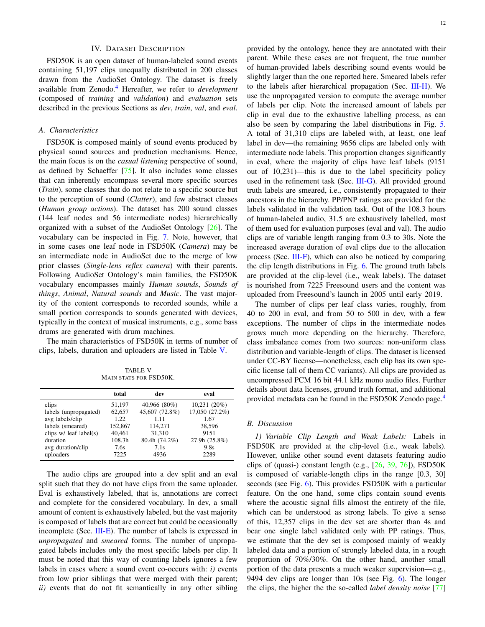#### IV. DATASET DESCRIPTION

<span id="page-11-0"></span>FSD50K is an open dataset of human-labeled sound events containing 51,197 clips unequally distributed in 200 classes drawn from the AudioSet Ontology. The dataset is freely available from Zenodo.[4](#page-1-0) Hereafter, we refer to *development* (composed of *training* and *validation*) and *evaluation* sets described in the previous Sections as *dev*, *train*, *val*, and *eval*.

## <span id="page-11-1"></span>*A. Characteristics*

FSD50K is composed mainly of sound events produced by physical sound sources and production mechanisms. Hence, the main focus is on the *casual listening* perspective of sound, as defined by Schaeffer [\[75\]](#page-22-0). It also includes some classes that can inherently encompass several more specific sources (*Train*), some classes that do not relate to a specific source but to the perception of sound (*Clatter*), and few abstract classes (*Human group actions*). The dataset has 200 sound classes (144 leaf nodes and 56 intermediate nodes) hierarchically organized with a subset of the AudioSet Ontology [\[26\]](#page-20-22). The vocabulary can be inspected in Fig. [7.](#page-17-0) Note, however, that in some cases one leaf node in FSD50K (*Camera*) may be an intermediate node in AudioSet due to the merge of low prior classes (*Single-lens reflex camera*) with their parents. Following AudioSet Ontology's main families, the FSD50K vocabulary encompasses mainly *Human sounds*, *Sounds of things*, *Animal*, *Natural sounds* and *Music*. The vast majority of the content corresponds to recorded sounds, while a small portion corresponds to sounds generated with devices, typically in the context of musical instruments, e.g., some bass drums are generated with drum machines.

The main characteristics of FSD50K in terms of number of clips, labels, duration and uploaders are listed in Table [V.](#page-11-3)

TABLE V MAIN STATS FOR FSD50K.

<span id="page-11-3"></span>

|                          | total   | dev            | eval           |
|--------------------------|---------|----------------|----------------|
| clips                    | 51,197  | 40,966 (80%)   | 10,231(20%)    |
| labels (unpropagated)    | 62,657  | 45,607 (72.8%) | 17,050 (27.2%) |
| avg labels/clip          | 1.22.   | 1.11           | 1.67           |
| labels (smeared)         | 152,867 | 114,271        | 38.596         |
| clips $w/$ leaf label(s) | 40,461  | 31,310         | 9151           |
| duration                 | 108.3h  | 80.4h (74.2%)  | 27.9h (25.8%)  |
| avg duration/clip        | 7.6s    | 7.1s           | 9.8s           |
| uploaders                | 7225    | 4936           | 2289           |

The audio clips are grouped into a dev split and an eval split such that they do not have clips from the same uploader. Eval is exhaustively labeled, that is, annotations are correct and complete for the considered vocabulary. In dev, a small amount of content is exhaustively labeled, but the vast majority is composed of labels that are correct but could be occasionally incomplete (Sec. [III-E\)](#page-4-0). The number of labels is expressed in *unpropagated* and *smeared* forms. The number of unpropagated labels includes only the most specific labels per clip. It must be noted that this way of counting labels ignores a few labels in cases where a sound event co-occurs with: *i)* events from low prior siblings that were merged with their parent; *ii)* events that do not fit semantically in any other sibling

provided by the ontology, hence they are annotated with their parent. While these cases are not frequent, the true number of human-provided labels describing sound events would be slightly larger than the one reported here. Smeared labels refer to the labels after hierarchical propagation (Sec. [III-H\)](#page-8-2). We use the unpropagated version to compute the average number of labels per clip. Note the increased amount of labels per clip in eval due to the exhaustive labelling process, as can also be seen by comparing the label distributions in Fig. [5.](#page-12-0) A total of 31,310 clips are labeled with, at least, one leaf label in dev—the remaining 9656 clips are labeled only with intermediate node labels. This proportion changes significantly in eval, where the majority of clips have leaf labels (9151 out of 10,231)—this is due to the label specificity policy used in the refinement task (Sec. [III-G\)](#page-7-0). All provided ground truth labels are smeared, i.e., consistently propagated to their ancestors in the hierarchy. PP/PNP ratings are provided for the labels validated in the validation task. Out of the 108.3 hours of human-labeled audio, 31.5 are exhaustively labelled, most of them used for evaluation purposes (eval and val). The audio clips are of variable length ranging from 0.3 to 30s. Note the increased average duration of eval clips due to the allocation process (Sec. [III-F\)](#page-6-3), which can also be noticed by comparing the clip length distributions in Fig. [6.](#page-12-1) The ground truth labels are provided at the clip-level (i.e., weak labels). The dataset is nourished from 7225 Freesound users and the content was uploaded from Freesound's launch in 2005 until early 2019.

The number of clips per leaf class varies, roughly, from 40 to 200 in eval, and from 50 to 500 in dev, with a few exceptions. The number of clips in the intermediate nodes grows much more depending on the hierarchy. Therefore, class imbalance comes from two sources: non-uniform class distribution and variable-length of clips. The dataset is licensed under CC-BY license—nonetheless, each clip has its own specific license (all of them CC variants). All clips are provided as uncompressed PCM 16 bit 44.1 kHz mono audio files. Further details about data licenses, ground truth format, and additional provided metadata can be found in the FSD50K Zenodo page.[4](#page-1-0)

#### <span id="page-11-2"></span>*B. Discussion*

*1) Variable Clip Length and Weak Labels:* Labels in FSD50K are provided at the clip-level (i.e., weak labels). However, unlike other sound event datasets featuring audio clips of (quasi-) constant length (e.g.,  $[26, 39, 76]$  $[26, 39, 76]$  $[26, 39, 76]$  $[26, 39, 76]$  $[26, 39, 76]$ ), FSD50K is composed of variable-length clips in the range [0.3, 30] seconds (see Fig. [6\)](#page-12-1). This provides FSD50K with a particular feature. On the one hand, some clips contain sound events where the acoustic signal fills almost the entirety of the file, which can be understood as strong labels. To give a sense of this, 12,357 clips in the dev set are shorter than 4s and bear one single label validated only with PP ratings. Thus, we estimate that the dev set is composed mainly of weakly labeled data and a portion of strongly labeled data, in a rough proportion of 70%/30%. On the other hand, another small portion of the data presents a much weaker supervision—e.g., 9494 dev clips are longer than 10s (see Fig. [6\)](#page-12-1). The longer the clips, the higher the the so-called *label density noise* [\[77\]](#page-22-2)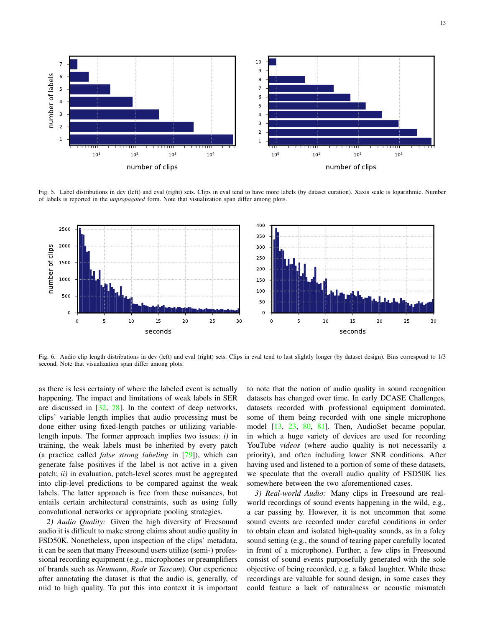

<span id="page-12-0"></span>Fig. 5. Label distributions in dev (left) and eval (right) sets. Clips in eval tend to have more labels (by dataset curation). Xaxis scale is logarithmic. Number of labels is reported in the *unpropagated* form. Note that visualization span differ among plots.



<span id="page-12-1"></span>Fig. 6. Audio clip length distributions in dev (left) and eval (right) sets. Clips in eval tend to last slightly longer (by dataset design). Bins correspond to 1/3 second. Note that visualization span differ among plots.

as there is less certainty of where the labeled event is actually happening. The impact and limitations of weak labels in SER are discussed in  $[32, 78]$  $[32, 78]$  $[32, 78]$ . In the context of deep networks, clips' variable length implies that audio processing must be done either using fixed-length patches or utilizing variablelength inputs. The former approach implies two issues: *i)* in training, the weak labels must be inherited by every patch (a practice called *false strong labeling* in [\[79\]](#page-22-4)), which can generate false positives if the label is not active in a given patch; *ii)* in evaluation, patch-level scores must be aggregated into clip-level predictions to be compared against the weak labels. The latter approach is free from these nuisances, but entails certain architectural constraints, such as using fully convolutional networks or appropriate pooling strategies.

*2) Audio Quality:* Given the high diversity of Freesound audio it is difficult to make strong claims about audio quality in FSD50K. Nonetheless, upon inspection of the clips' metadata, it can be seen that many Freesound users utilize (semi-) professional recording equipment (e.g., microphones or preamplifiers of brands such as *Neumann*, *Rode* or *Tascam*). Our experience after annotating the dataset is that the audio is, generally, of mid to high quality. To put this into context it is important to note that the notion of audio quality in sound recognition datasets has changed over time. In early DCASE Challenges, datasets recorded with professional equipment dominated, some of them being recorded with one single microphone model [\[13,](#page-20-10) [23,](#page-20-19) [80,](#page-22-5) [81\]](#page-22-6). Then, AudioSet became popular, in which a huge variety of devices are used for recording YouTube *videos* (where audio quality is not necessarily a priority), and often including lower SNR conditions. After having used and listened to a portion of some of these datasets, we speculate that the overall audio quality of FSD50K lies somewhere between the two aforementioned cases.

*3) Real-world Audio:* Many clips in Freesound are realworld recordings of sound events happening in the wild, e.g., a car passing by. However, it is not uncommon that some sound events are recorded under careful conditions in order to obtain clean and isolated high-quality sounds, as in a foley sound setting (e.g., the sound of tearing paper carefully located in front of a microphone). Further, a few clips in Freesound consist of sound events purposefully generated with the sole objective of being recorded, e.g. a faked laughter. While these recordings are valuable for sound design, in some cases they could feature a lack of naturalness or acoustic mismatch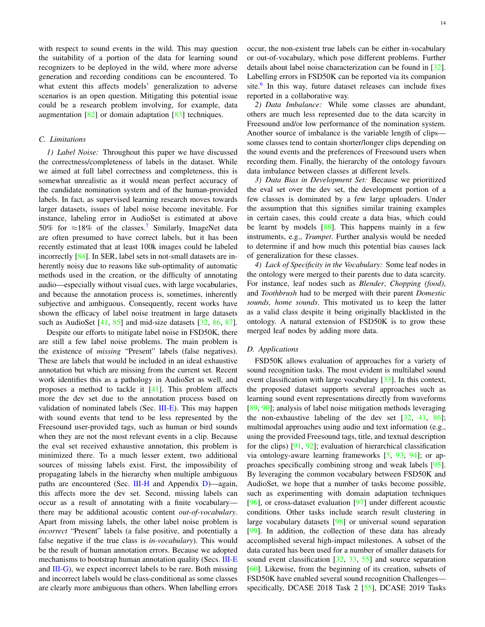with respect to sound events in the wild. This may question the suitability of a portion of the data for learning sound recognizers to be deployed in the wild, where more adverse generation and recording conditions can be encountered. To what extent this affects models' generalization to adverse scenarios is an open question. Mitigating this potential issue could be a research problem involving, for example, data augmentation  $\lceil 82 \rceil$  or domain adaptation  $\lceil 83 \rceil$  techniques.

## <span id="page-13-0"></span>*C. Limitations*

*1) Label Noise:* Throughout this paper we have discussed the correctness/completeness of labels in the dataset. While we aimed at full label correctness and completeness, this is somewhat unrealistic as it would mean perfect accuracy of the candidate nomination system and of the human-provided labels. In fact, as supervised learning research moves towards larger datasets, issues of label noise become inevitable. For instance, labeling error in AudioSet is estimated at above 50% for  $\approx 18\%$  of the classes.<sup>[7](#page-2-2)</sup> Similarly, ImageNet data are often presumed to have correct labels, but it has been recently estimated that at least 100k images could be labeled incorrectly [\[84\]](#page-22-9). In SER, label sets in not-small datasets are inherently noisy due to reasons like sub-optimality of automatic methods used in the creation, or the difficulty of annotating audio—especially without visual cues, with large vocabularies, and because the annotation process is, sometimes, inherently subjective and ambiguous. Consequently, recent works have shown the efficacy of label noise treatment in large datasets such as AudioSet [\[41,](#page-21-8) [85\]](#page-22-10) and mid-size datasets [\[32,](#page-21-5) [86,](#page-22-11) [87\]](#page-22-12).

Despite our efforts to mitigate label noise in FSD50K, there are still a few label noise problems. The main problem is the existence of *missing* "Present" labels (false negatives). These are labels that would be included in an ideal exhaustive annotation but which are missing from the current set. Recent work identifies this as a pathology in AudioSet as well, and proposes a method to tackle it [\[41\]](#page-21-8). This problem affects more the dev set due to the annotation process based on validation of nominated labels (Sec. [III-E\)](#page-4-0). This may happen with sound events that tend to be less represented by the Freesound user-provided tags, such as human or bird sounds when they are not the most relevant events in a clip. Because the eval set received exhaustive annotation, this problem is minimized there. To a much lesser extent, two additional sources of missing labels exist. First, the impossibility of propagating labels in the hierarchy when multiple ambiguous paths are encountered (Sec. [III-H](#page-8-2) and Appendix [D\)](#page-19-2)—again, this affects more the dev set. Second, missing labels can occur as a result of annotating with a finite vocabulary there may be additional acoustic content *out-of-vocabulary*. Apart from missing labels, the other label noise problem is *incorrect* "Present" labels (a false positive, and potentially a false negative if the true class is *in-vocabulary*). This would be the result of human annotation errors. Because we adopted mechanisms to bootstrap human annotation quality (Secs. [III-E](#page-4-0) and  $III-G$ ), we expect incorrect labels to be rare. Both missing and incorrect labels would be class-conditional as some classes are clearly more ambiguous than others. When labelling errors occur, the non-existent true labels can be either in-vocabulary or out-of-vocabulary, which pose different problems. Further details about label noise characterization can be found in [\[32\]](#page-21-5). Labelling errors in FSD50K can be reported via its companion site.<sup>[6](#page-1-2)</sup> In this way, future dataset releases can include fixes reported in a collaborative way.

*2) Data Imbalance:* While some classes are abundant, others are much less represented due to the data scarcity in Freesound and/or low performance of the nomination system. Another source of imbalance is the variable length of clips some classes tend to contain shorter/longer clips depending on the sound events and the preferences of Freesound users when recording them. Finally, the hierarchy of the ontology favours data imbalance between classes at different levels.

*3) Data Bias in Development Set:* Because we prioritized the eval set over the dev set, the development portion of a few classes is dominated by a few large uploaders. Under the assumption that this signifies similar training examples in certain cases, this could create a data bias, which could be learnt by models [\[88\]](#page-22-13). This happens mainly in a few instruments, e.g., *Trumpet*. Further analysis would be needed to determine if and how much this potential bias causes lack of generalization for these classes.

*4) Lack of Specificity in the Vocabulary:* Some leaf nodes in the ontology were merged to their parents due to data scarcity. For instance, leaf nodes such as *Blender*, *Chopping (food)*, and *Toothbrush* had to be merged with their parent *Domestic sounds, home sounds*. This motivated us to keep the latter as a valid class despite it being originally blacklisted in the ontology. A natural extension of FSD50K is to grow these merged leaf nodes by adding more data.

## *D. Applications*

FSD50K allows evaluation of approaches for a variety of sound recognition tasks. The most evident is multilabel sound event classification with large vocabulary [\[33\]](#page-21-6). In this context, the proposed dataset supports several approaches such as learning sound event representations directly from waveforms [\[89,](#page-22-14) [90\]](#page-22-15); analysis of label noise mitigation methods leveraging the non-exhaustive labeling of the dev set  $[32, 41, 86]$  $[32, 41, 86]$  $[32, 41, 86]$  $[32, 41, 86]$  $[32, 41, 86]$ ; multimodal approaches using audio and text information (e.g., using the provided Freesound tags, title, and textual description for the clips) [\[91,](#page-22-16) [92\]](#page-22-17); evaluation of hierarchical classification via ontology-aware learning frameworks [\[5,](#page-20-3) [93,](#page-22-18) [94\]](#page-22-19); or approaches specifically combining strong and weak labels [\[95\]](#page-22-20). By leveraging the common vocabulary between FSD50K and AudioSet, we hope that a number of tasks become possible, such as experimenting with domain adaptation techniques [\[96\]](#page-22-21), or cross-dataset evaluation [\[97\]](#page-22-22) under different acoustic conditions. Other tasks include search result clustering in large vocabulary datasets [\[98\]](#page-22-23) or universal sound separation [\[99\]](#page-22-24). In addition, the collection of these data has already accomplished several high-impact milestones. A subset of the data curated has been used for a number of smaller datasets for sound event classification  $[32, 33, 55]$  $[32, 33, 55]$  $[32, 33, 55]$  $[32, 33, 55]$  $[32, 33, 55]$  and source separation [\[60\]](#page-21-25). Likewise, from the beginning of its creation, subsets of FSD50K have enabled several sound recognition Challenges specifically, DCASE 2018 Task 2 [\[55\]](#page-21-20), DCASE 2019 Tasks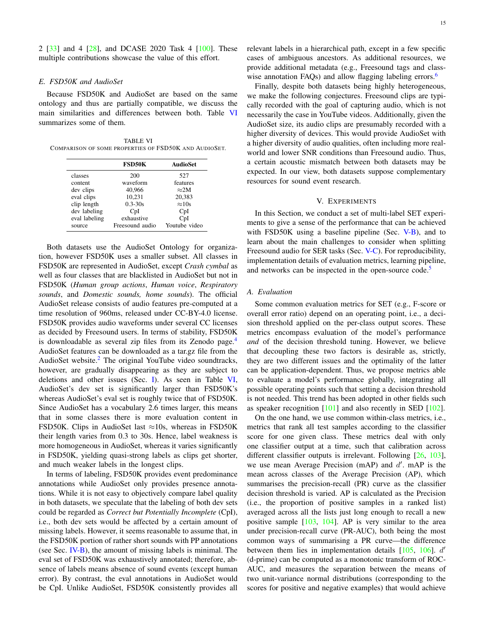2 [\[33\]](#page-21-6) and 4 [\[28\]](#page-20-25), and DCASE 2020 Task 4 [\[100\]](#page-22-25). These multiple contributions showcase the value of this effort.

#### *E. FSD50K and AudioSet*

Because FSD50K and AudioSet are based on the same ontology and thus are partially compatible, we discuss the main similarities and differences between both. Table [VI](#page-14-1) summarizes some of them.

<span id="page-14-1"></span>TABLE VI COMPARISON OF SOME PROPERTIES OF FSD50K AND AUDIOSET.

|               | <b>FSD50K</b>   | <b>AudioSet</b> |
|---------------|-----------------|-----------------|
| classes       | 200             | 527             |
| content       | waveform        | features        |
| dev clips     | 40,966          | $\approx$ 2M    |
| eval clips    | 10.231          | 20.383          |
| clip length   | $0.3 - 30s$     | $\approx 10s$   |
| dev labeling  | CpI             | CpI             |
| eval labeling | exhaustive      | CpI             |
| source        | Freesound audio | Youtube video   |

Both datasets use the AudioSet Ontology for organization, however FSD50K uses a smaller subset. All classes in FSD50K are represented in AudioSet, except *Crash cymbal* as well as four classes that are blacklisted in AudioSet but not in FSD50K (*Human group actions*, *Human voice*, *Respiratory sounds*, and *Domestic sounds, home sounds*). The official AudioSet release consists of audio features pre-computed at a time resolution of 960ms, released under CC-BY-4.0 license. FSD50K provides audio waveforms under several CC licenses as decided by Freesound users. In terms of stability, FSD50K is downloadable as several zip files from its Zenodo page.<sup>[4](#page-1-0)</sup> AudioSet features can be downloaded as a tar.gz file from the AudioSet website.<sup>[2](#page-0-1)</sup> The original YouTube video soundtracks, however, are gradually disappearing as they are subject to deletions and other issues (Sec. [I\)](#page-0-3). As seen in Table [VI,](#page-14-1) AudioSet's dev set is significantly larger than FSD50K's whereas AudioSet's eval set is roughly twice that of FSD50K. Since AudioSet has a vocabulary 2.6 times larger, this means that in some classes there is more evaluation content in FSD50K. Clips in AudioSet last  $\approx$ 10s, whereas in FSD50K their length varies from 0.3 to 30s. Hence, label weakness is more homogeneous in AudioSet, whereas it varies significantly in FSD50K, yielding quasi-strong labels as clips get shorter, and much weaker labels in the longest clips.

In terms of labeling, FSD50K provides event predominance annotations while AudioSet only provides presence annotations. While it is not easy to objectively compare label quality in both datasets, we speculate that the labeling of both dev sets could be regarded as *Correct but Potentially Incomplete* (CpI), i.e., both dev sets would be affected by a certain amount of missing labels. However, it seems reasonable to assume that, in the FSD50K portion of rather short sounds with PP annotations (see Sec. [IV-B\)](#page-11-2), the amount of missing labels is minimal. The eval set of FSD50K was exhaustively annotated; therefore, absence of labels means absence of sound events (except human error). By contrast, the eval annotations in AudioSet would be CpI. Unlike AudioSet, FSD50K consistently provides all relevant labels in a hierarchical path, except in a few specific cases of ambiguous ancestors. As additional resources, we provide additional metadata (e.g., Freesound tags and class-wise annotation FAQs) and allow flagging labeling errors.<sup>[6](#page-1-2)</sup>

Finally, despite both datasets being highly heterogeneous, we make the following conjectures. Freesound clips are typically recorded with the goal of capturing audio, which is not necessarily the case in YouTube videos. Additionally, given the AudioSet size, its audio clips are presumably recorded with a higher diversity of devices. This would provide AudioSet with a higher diversity of audio qualities, often including more realworld and lower SNR conditions than Freesound audio. Thus, a certain acoustic mismatch between both datasets may be expected. In our view, both datasets suppose complementary resources for sound event research.

### V. EXPERIMENTS

<span id="page-14-0"></span>In this Section, we conduct a set of multi-label SET experiments to give a sense of the performance that can be achieved with FSD50K using a baseline pipeline (Sec.  $V-B$ ), and to learn about the main challenges to consider when splitting Freesound audio for SER tasks (Sec. [V-C\)](#page-16-0). For reproducibility, implementation details of evaluation metrics, learning pipeline, and networks can be inspected in the open-source code.<sup>[5](#page-1-1)</sup>

#### *A. Evaluation*

Some common evaluation metrics for SET (e.g., F-score or overall error ratio) depend on an operating point, i.e., a decision threshold applied on the per-class output scores. These metrics encompass evaluation of the model's performance *and* of the decision threshold tuning. However, we believe that decoupling these two factors is desirable as, strictly, they are two different issues and the optimality of the latter can be application-dependent. Thus, we propose metrics able to evaluate a model's performance globally, integrating all possible operating points such that setting a decision threshold is not needed. This trend has been adopted in other fields such as speaker recognition [\[101\]](#page-22-26) and also recently in SED [\[102\]](#page-22-27).

On the one hand, we use common within-class metrics, i.e., metrics that rank all test samples according to the classifier score for one given class. These metrics deal with only one classifier output at a time, such that calibration across different classifier outputs is irrelevant. Following [\[26,](#page-20-22) [103\]](#page-22-28), we use mean Average Precision (mAP) and  $d'$ . mAP is the mean across classes of the Average Precision (AP), which summarises the precision-recall (PR) curve as the classifier decision threshold is varied. AP is calculated as the Precision (i.e., the proportion of positive samples in a ranked list) averaged across all the lists just long enough to recall a new positive sample [\[103,](#page-22-28) [104\]](#page-22-29). AP is very similar to the area under precision-recall curve (PR-AUC), both being the most common ways of summarising a PR curve—the difference between them lies in implementation details  $[105, 106]$  $[105, 106]$  $[105, 106]$ .  $d'$ (d-prime) can be computed as a monotonic transform of ROC-AUC, and measures the separation between the means of two unit-variance normal distributions (corresponding to the scores for positive and negative examples) that would achieve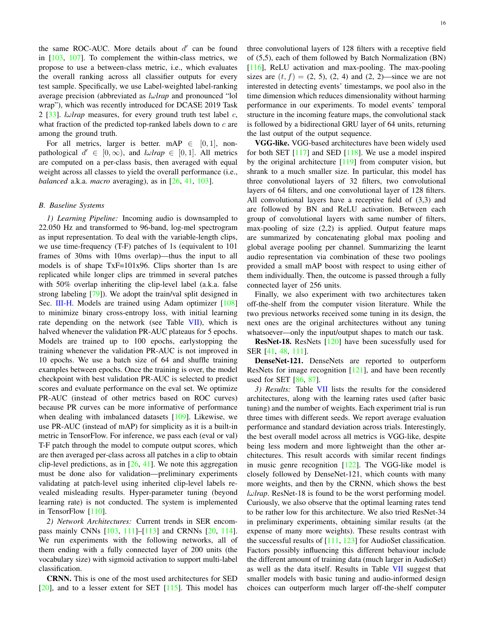the same ROC-AUC. More details about  $d'$  can be found in [\[103,](#page-22-28) [107\]](#page-22-32). To complement the within-class metrics, we propose to use a between-class metric, i.e., which evaluates the overall ranking across all classifier outputs for every test sample. Specifically, we use Label-weighted label-ranking average precision (abbreviated as *l*ω*lrap* and pronounced "lol wrap"), which was recently introduced for DCASE 2019 Task 2 [\[33\]](#page-21-6). *lωlrap* measures, for every ground truth test label c, what fraction of the predicted top-ranked labels down to  $c$  are among the ground truth.

For all metrics, larger is better. mAP  $\in$  [0, 1], nonpathological  $d' \in [0, \infty)$ , and  $l \omega \text{ trap } \in [0, 1]$ . All metrics are computed on a per-class basis, then averaged with equal weight across all classes to yield the overall performance (i.e., *balanced* a.k.a. *macro* averaging), as in [\[26,](#page-20-22) [41,](#page-21-8) [103\]](#page-22-28).

#### <span id="page-15-0"></span>*B. Baseline Systems*

*1) Learning Pipeline:* Incoming audio is downsampled to 22.050 Hz and transformed to 96-band, log-mel spectrogram as input representation. To deal with the variable-length clips, we use time-frequency (T-F) patches of 1s (equivalent to 101 frames of 30ms with 10ms overlap)—thus the input to all models is of shape TxF=101x96. Clips shorter than 1s are replicated while longer clips are trimmed in several patches with 50% overlap inheriting the clip-level label (a.k.a. false strong labeling [\[79\]](#page-22-4)). We adopt the train/val split designed in Sec. [III-H.](#page-8-2) Models are trained using Adam optimizer [\[108\]](#page-22-33) to minimize binary cross-entropy loss, with initial learning rate depending on the network (see Table [VII\)](#page-16-1), which is halved whenever the validation PR-AUC plateaus for 5 epochs. Models are trained up to 100 epochs, earlystopping the training whenever the validation PR-AUC is not improved in 10 epochs. We use a batch size of 64 and shuffle training examples between epochs. Once the training is over, the model checkpoint with best validation PR-AUC is selected to predict scores and evaluate performance on the eval set. We optimize PR-AUC (instead of other metrics based on ROC curves) because PR curves can be more informative of performance when dealing with imbalanced datasets [\[109\]](#page-22-34). Likewise, we use PR-AUC (instead of mAP) for simplicity as it is a built-in metric in TensorFlow. For inference, we pass each (eval or val) T-F patch through the model to compute output scores, which are then averaged per-class across all patches in a clip to obtain clip-level predictions, as in  $[26, 41]$  $[26, 41]$  $[26, 41]$ . We note this aggregation must be done also for validation—preliminary experiments validating at patch-level using inherited clip-level labels revealed misleading results. Hyper-parameter tuning (beyond learning rate) is not conducted. The system is implemented in TensorFlow [\[110\]](#page-22-35).

*2) Network Architectures:* Current trends in SER encompass mainly CNNs [\[103,](#page-22-28) [111\]](#page-22-36)–[\[113\]](#page-22-37) and CRNNs [\[20,](#page-20-17) [114\]](#page-22-38). We run experiments with the following networks, all of them ending with a fully connected layer of 200 units (the vocabulary size) with sigmoid activation to support multi-label classification.

CRNN. This is one of the most used architectures for SED  $[20]$ , and to a lesser extent for SET  $[115]$ . This model has three convolutional layers of 128 filters with a receptive field of (5,5), each of them followed by Batch Normalization (BN) [\[116\]](#page-23-0), ReLU activation and max-pooling. The max-pooling sizes are  $(t, f) = (2, 5), (2, 4)$  and  $(2, 2)$ —since we are not interested in detecting events' timestamps, we pool also in the time dimension which reduces dimensionality without harming performance in our experiments. To model events' temporal structure in the incoming feature maps, the convolutional stack is followed by a bidirectional GRU layer of 64 units, returning the last output of the output sequence.

VGG-like. VGG-based architectures have been widely used for both SET  $[117]$  and SED  $[118]$ . We use a model inspired by the original architecture [\[119\]](#page-23-3) from computer vision, but shrank to a much smaller size. In particular, this model has three convolutional layers of 32 filters, two convolutional layers of 64 filters, and one convolutional layer of 128 filters. All convolutional layers have a receptive field of (3,3) and are followed by BN and ReLU activation. Between each group of convolutional layers with same number of filters, max-pooling of size (2,2) is applied. Output feature maps are summarized by concatenating global max pooling and global average pooling per channel. Summarizing the learnt audio representation via combination of these two poolings provided a small mAP boost with respect to using either of them individually. Then, the outcome is passed through a fully connected layer of 256 units.

Finally, we also experiment with two architectures taken off-the-shelf from the computer vision literature. While the two previous networks received some tuning in its design, the next ones are the original architectures without any tuning whatsoever—only the input/output shapes to match our task.

ResNet-18. ResNets [\[120\]](#page-23-4) have been sucessfully used for SER [\[41,](#page-21-8) [48,](#page-21-15) [111\]](#page-22-36).

DenseNet-121. DenseNets are reported to outperform ResNets for image recognition  $[121]$ , and have been recently used for SET [\[86,](#page-22-11) [87\]](#page-22-12).

*3) Results:* Table [VII](#page-16-1) lists the results for the considered architectures, along with the learning rates used (after basic tuning) and the number of weights. Each experiment trial is run three times with different seeds. We report average evaluation performance and standard deviation across trials. Interestingly, the best overall model across all metrics is VGG-like, despite being less modern and more lightweight than the other architectures. This result accords with similar recent findings in music genre recognition  $[122]$ . The VGG-like model is closely followed by DenseNet-121, which counts with many more weights, and then by the CRNN, which shows the best *l*ω*lrap*. ResNet-18 is found to be the worst performing model. Curiously, we also observe that the optimal learning rates tend to be rather low for this architecture. We also tried ResNet-34 in preliminary experiments, obtaining similar results (at the expense of many more weights). These results contrast with the successful results of  $[111, 123]$  $[111, 123]$  $[111, 123]$  for AudioSet classification. Factors possibly influencing this different behaviour include the different amount of training data (much larger in AudioSet) as well as the data itself. Results in Table [VII](#page-16-1) suggest that smaller models with basic tuning and audio-informed design choices can outperform much larger off-the-shelf computer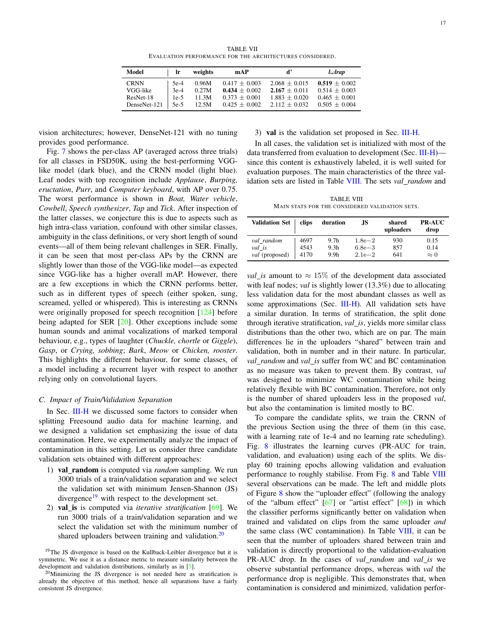TABLE VII EVALUATION PERFORMANCE FOR THE ARCHITECTURES CONSIDERED.

<span id="page-16-1"></span>

| Model        | <b>Ir</b> | weights | mAP             | ď               | $l\omega$ <i>rap</i> |
|--------------|-----------|---------|-----------------|-----------------|----------------------|
| <b>CRNN</b>  | $5e-4$    | 0.96M   | $0.417 + 0.003$ | $2.068 + 0.015$ | $0.519 + 0.002$      |
| VGG-like     | $3e-4$    | 0.27M   | $0.434 + 0.002$ | $2.167 + 0.011$ | $0.514 + 0.003$      |
| ResNet-18    | $1e-5$    | 11.3M   | $0.373 + 0.001$ | $1.883 + 0.020$ | $0.465 + 0.001$      |
| DenseNet-121 | 5e-5      | 12.5M   | $0.425 + 0.002$ | $2.112 + 0.032$ | $0.505 + 0.004$      |

vision architectures; however, DenseNet-121 with no tuning provides good performance.

Fig. [7](#page-17-0) shows the per-class AP (averaged across three trials) for all classes in FSD50K, using the best-performing VGGlike model (dark blue), and the CRNN model (light blue). Leaf nodes with top recognition include *Applause*, *Burping, eructation*, *Purr*, and *Computer keyboard*, with AP over 0.75. The worst performance is shown in *Boat, Water vehicle*, *Cowbell*, *Speech synthesizer*, *Tap* and *Tick*. After inspection of the latter classes, we conjecture this is due to aspects such as high intra-class variation, confound with other similar classes, ambiguity in the class definitions, or very short length of sound events—all of them being relevant challenges in SER. Finally, it can be seen that most per-class APs by the CRNN are slightly lower than those of the VGG-like model—as expected since VGG-like has a higher overall mAP. However, there are a few exceptions in which the CRNN performs better, such as in different types of speech (either spoken, sung, screamed, yelled or whispered). This is interesting as CRNNs were originally proposed for speech recognition [\[124\]](#page-23-8) before being adapted for SER [\[20\]](#page-20-17). Other exceptions include some human sounds and animal vocalizations of marked temporal behaviour, e.g., types of laughter (*Chuckle, chortle* or *Giggle*), *Gasp*, or *Crying, sobbing*; *Bark*, *Meow* or *Chicken, rooster*. This highlights the different behaviour, for some classes, of a model including a recurrent layer with respect to another relying only on convolutional layers.

#### <span id="page-16-0"></span>*C. Impact of Train/Validation Separation*

In Sec. [III-H](#page-8-2) we discussed some factors to consider when splitting Freesound audio data for machine learning, and we designed a validation set emphasizing the issue of data contamination. Here, we experimentally analyze the impact of contamination in this setting. Let us consider three candidate validation sets obtained with different approaches:

- 1) val random is computed via *random* sampling. We run 3000 trials of a train/validation separation and we select the validation set with minimum Jensen-Shannon (JS) divergence $19$  with respect to the development set.
- 2) val is is computed via *iterative stratification* [\[69\]](#page-21-34). We run 3000 trials of a train/validation separation and we select the validation set with the minimum number of shared uploaders between training and validation. $20$

3) val is the validation set proposed in Sec. [III-H.](#page-8-2)

In all cases, the validation set is initialized with most of the data transferred from evaluation to development (Sec. [III-H\)](#page-8-2) since this content is exhaustively labeled, it is well suited for evaluation purposes. The main characteristics of the three validation sets are listed in Table [VIII.](#page-16-4) The sets *val random* and

TABLE VIII MAIN STATS FOR THE CONSIDERED VALIDATION SETS.

<span id="page-16-4"></span>

| <b>Validation Set</b> | clips | duration         | .JS        | shared<br>uploaders | <b>PR-AUC</b><br>drop |
|-----------------------|-------|------------------|------------|---------------------|-----------------------|
| val_random            | 4697  | 9.7 <sub>h</sub> | $1.8e - 2$ | 930                 | 0.15                  |
| val is                | 4543  | 9.3 <sub>h</sub> | $6.8e - 3$ | 857                 | 0.14                  |
| val (proposed)        | 4170  | 9.9 <sub>h</sub> | $2.1e-2$   | 641                 | $\approx 0$           |

*val\_is* amount to  $\approx 15\%$  of the development data associated with leaf nodes; *val* is slightly lower (13.3%) due to allocating less validation data for the most abundant classes as well as some approximations (Sec. [III-H\)](#page-8-2). All validation sets have a similar duration. In terms of stratification, the split done through iterative stratification, *val is*, yields more similar class distributions than the other two, which are on par. The main differences lie in the uploaders "shared" between train and validation, both in number and in their nature. In particular, *val random* and *val is* suffer from WC and BC contamination as no measure was taken to prevent them. By contrast, *val* was designed to minimize WC contamination while being relatively flexible with BC contamination. Therefore, not only is the number of shared uploaders less in the proposed *val*, but also the contamination is limited mostly to BC.

To compare the candidate splits, we train the CRNN of the previous Section using the three of them (in this case, with a learning rate of 1e-4 and no learning rate scheduling). Fig. [8](#page-18-1) illustrates the learning curves (PR-AUC for train, validation, and evaluation) using each of the splits. We display 60 training epochs allowing validation and evaluation performance to roughly stabilise. From Fig. [8](#page-18-1) and Table [VIII](#page-16-4) several observations can be made. The left and middle plots of Figure [8](#page-18-1) show the "uploader effect" (following the analogy of the "album effect" [\[67\]](#page-21-32) or "artist effect" [\[68\]](#page-21-33)) in which the classifier performs significantly better on validation when trained and validated on clips from the same uploader *and* the same class (WC contamination). In Table [VIII,](#page-16-4) it can be seen that the number of uploaders shared between train and validation is directly proportional to the validation-evaluation PR-AUC drop. In the cases of *val random* and *val is* we observe substantial performance drops, whereas with *val* the performance drop is negligible. This demonstrates that, when contamination is considered and minimized, validation perfor-

<span id="page-16-2"></span><sup>&</sup>lt;sup>19</sup>The JS divergence is based on the Kullback-Leibler divergence but it is symmetric. We use it as a distance metric to measure similarity between the development and validation distributions, similarly as in [\[5\]](#page-20-3).

<span id="page-16-3"></span><sup>&</sup>lt;sup>20</sup>Minimizing the JS divergence is not needed here as stratification is already the objective of this method, hence all separations have a fairly consistent JS divergence.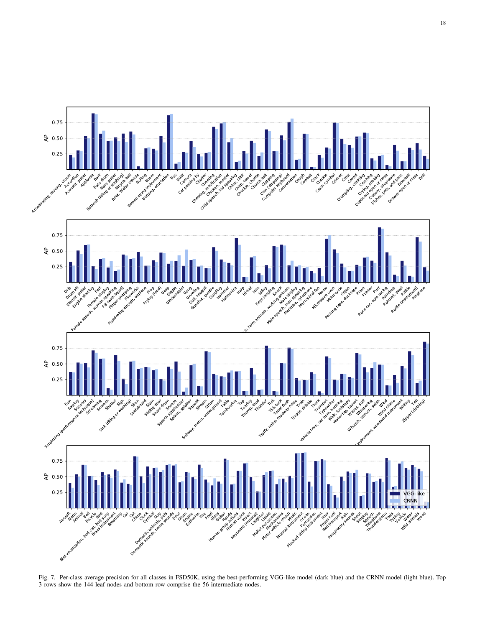

<span id="page-17-0"></span>Fig. 7. Per-class average precision for all classes in FSD50K, using the best-performing VGG-like model (dark blue) and the CRNN model (light blue). Top 3 rows show the 144 leaf nodes and bottom row comprise the 56 intermediate nodes.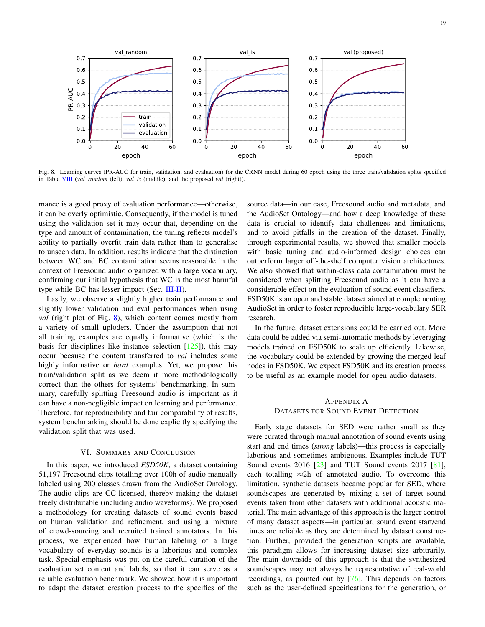

<span id="page-18-1"></span>Fig. 8. Learning curves (PR-AUC for train, validation, and evaluation) for the CRNN model during 60 epoch using the three train/validation splits specified in Table [VIII](#page-16-4) (*val random* (left), *val is* (middle), and the proposed *val* (right)).

mance is a good proxy of evaluation performance—otherwise, it can be overly optimistic. Consequently, if the model is tuned using the validation set it may occur that, depending on the type and amount of contamination, the tuning reflects model's ability to partially overfit train data rather than to generalise to unseen data. In addition, results indicate that the distinction between WC and BC contamination seems reasonable in the context of Freesound audio organized with a large vocabulary, confirming our initial hypothesis that WC is the most harmful type while BC has lesser impact (Sec. [III-H\)](#page-8-2).

Lastly, we observe a slightly higher train performance and slightly lower validation and eval performances when using *val* (right plot of Fig. [8\)](#page-18-1), which content comes mostly from a variety of small uploders. Under the assumption that not all training examples are equally informative (which is the basis for disciplines like instance selection  $[125]$ ), this may occur because the content transferred to *val* includes some highly informative or *hard* examples. Yet, we propose this train/validation split as we deem it more methodologically correct than the others for systems' benchmarking. In summary, carefully splitting Freesound audio is important as it can have a non-negligible impact on learning and performance. Therefore, for reproducibility and fair comparability of results, system benchmarking should be done explicitly specifying the validation split that was used.

#### VI. SUMMARY AND CONCLUSION

In this paper, we introduced *FSD50K*, a dataset containing 51,197 Freesound clips totalling over 100h of audio manually labeled using 200 classes drawn from the AudioSet Ontology. The audio clips are CC-licensed, thereby making the dataset freely distributable (including audio waveforms). We proposed a methodology for creating datasets of sound events based on human validation and refinement, and using a mixture of crowd-sourcing and recruited trained annotators. In this process, we experienced how human labeling of a large vocabulary of everyday sounds is a laborious and complex task. Special emphasis was put on the careful curation of the evaluation set content and labels, so that it can serve as a reliable evaluation benchmark. We showed how it is important to adapt the dataset creation process to the specifics of the source data—in our case, Freesound audio and metadata, and the AudioSet Ontology—and how a deep knowledge of these data is crucial to identify data challenges and limitations, and to avoid pitfalls in the creation of the dataset. Finally, through experimental results, we showed that smaller models with basic tuning and audio-informed design choices can outperform larger off-the-shelf computer vision architectures. We also showed that within-class data contamination must be considered when splitting Freesound audio as it can have a considerable effect on the evaluation of sound event classifiers. FSD50K is an open and stable dataset aimed at complementing AudioSet in order to foster reproducible large-vocabulary SER research.

In the future, dataset extensions could be carried out. More data could be added via semi-automatic methods by leveraging models trained on FSD50K to scale up efficiently. Likewise, the vocabulary could be extended by growing the merged leaf nodes in FSD50K. We expect FSD50K and its creation process to be useful as an example model for open audio datasets.

## <span id="page-18-0"></span>APPENDIX A DATASETS FOR SOUND EVENT DETECTION

Early stage datasets for SED were rather small as they were curated through manual annotation of sound events using start and end times (*strong* labels)—this process is especially laborious and sometimes ambiguous. Examples include TUT Sound events 2016 [\[23\]](#page-20-19) and TUT Sound events 2017 [\[81\]](#page-22-6), each totalling  $\approx$ 2h of annotated audio. To overcome this limitation, synthetic datasets became popular for SED, where soundscapes are generated by mixing a set of target sound events taken from other datasets with additional acoustic material. The main advantage of this approach is the larger control of many dataset aspects—in particular, sound event start/end times are reliable as they are determined by dataset construction. Further, provided the generation scripts are available, this paradigm allows for increasing dataset size arbitrarily. The main downside of this approach is that the synthesized soundscapes may not always be representative of real-world recordings, as pointed out by [\[76\]](#page-22-1). This depends on factors such as the user-defined specifications for the generation, or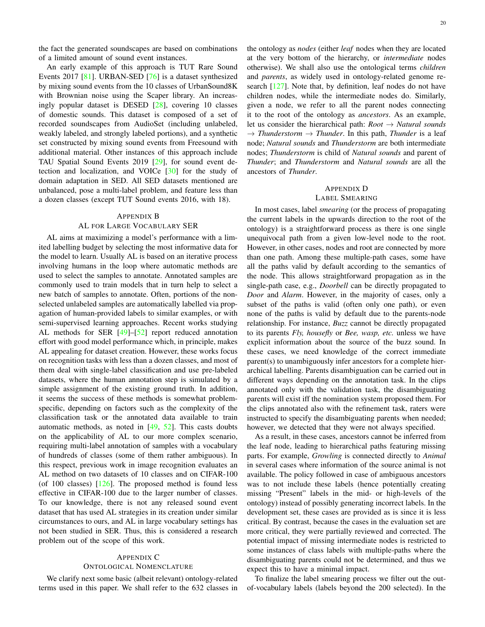the fact the generated soundscapes are based on combinations of a limited amount of sound event instances.

An early example of this approach is TUT Rare Sound Events 2017 [\[81\]](#page-22-6). URBAN-SED [\[76\]](#page-22-1) is a dataset synthesized by mixing sound events from the 10 classes of UrbanSound8K with Brownian noise using the Scaper library. An increasingly popular dataset is DESED [\[28\]](#page-20-25), covering 10 classes of domestic sounds. This dataset is composed of a set of recorded soundscapes from AudioSet (including unlabeled, weakly labeled, and strongly labeled portions), and a synthetic set constructed by mixing sound events from Freesound with additional material. Other instances of this approach include TAU Spatial Sound Events 2019 [\[29\]](#page-20-26), for sound event detection and localization, and VOICe [\[30\]](#page-20-27) for the study of domain adaptation in SED. All SED datasets mentioned are unbalanced, pose a multi-label problem, and feature less than a dozen classes (except TUT Sound events 2016, with 18).

#### <span id="page-19-0"></span>APPENDIX B

#### AL FOR LARGE VOCABULARY SER

AL aims at maximizing a model's performance with a limited labelling budget by selecting the most informative data for the model to learn. Usually AL is based on an iterative process involving humans in the loop where automatic methods are used to select the samples to annotate. Annotated samples are commonly used to train models that in turn help to select a new batch of samples to annotate. Often, portions of the nonselected unlabeled samples are automatically labelled via propagation of human-provided labels to similar examples, or with semi-supervised learning approaches. Recent works studying AL methods for SER [\[49\]](#page-21-16)–[\[52\]](#page-21-17) report reduced annotation effort with good model performance which, in principle, makes AL appealing for dataset creation. However, these works focus on recognition tasks with less than a dozen classes, and most of them deal with single-label classification and use pre-labeled datasets, where the human annotation step is simulated by a simple assignment of the existing ground truth. In addition, it seems the success of these methods is somewhat problemspecific, depending on factors such as the complexity of the classification task or the annotated data available to train automatic methods, as noted in [\[49,](#page-21-16) [52\]](#page-21-17). This casts doubts on the applicability of AL to our more complex scenario, requiring multi-label annotation of samples with a vocabulary of hundreds of classes (some of them rather ambiguous). In this respect, previous work in image recognition evaluates an AL method on two datasets of 10 classes and on CIFAR-100 (of 100 classes)  $[126]$ . The proposed method is found less effective in CIFAR-100 due to the larger number of classes. To our knowledge, there is not any released sound event dataset that has used AL strategies in its creation under similar circumstances to ours, and AL in large vocabulary settings has not been studied in SER. Thus, this is considered a research problem out of the scope of this work.

## <span id="page-19-1"></span>APPENDIX C

## ONTOLOGICAL NOMENCLATURE

We clarify next some basic (albeit relevant) ontology-related terms used in this paper. We shall refer to the 632 classes in the ontology as *nodes* (either *leaf* nodes when they are located at the very bottom of the hierarchy, or *intermediate* nodes otherwise). We shall also use the ontological terms *children* and *parents*, as widely used in ontology-related genome research [\[127\]](#page-23-11). Note that, by definition, leaf nodes do not have children nodes, while the intermediate nodes do. Similarly, given a node, we refer to all the parent nodes connecting it to the root of the ontology as *ancestors*. As an example, let us consider the hierarchical path: *Root* → *Natural sounds*  $\rightarrow$  *Thunderstorm*  $\rightarrow$  *Thunder*. In this path, *Thunder* is a leaf node; *Natural sounds* and *Thunderstorm* are both intermediate nodes; *Thunderstorm* is child of *Natural sounds* and parent of *Thunder*; and *Thunderstorm* and *Natural sounds* are all the ancestors of *Thunder*.

## <span id="page-19-2"></span>APPENDIX D

## LABEL SMEARING

In most cases, label *smearing* (or the process of propagating the current labels in the upwards direction to the root of the ontology) is a straightforward process as there is one single unequivocal path from a given low-level node to the root. However, in other cases, nodes and root are connected by more than one path. Among these multiple-path cases, some have all the paths valid by default according to the semantics of the node. This allows straightforward propagation as in the single-path case, e.g., *Doorbell* can be directly propagated to *Door* and *Alarm*. However, in the majority of cases, only a subset of the paths is valid (often only one path), or even none of the paths is valid by default due to the parents-node relationship. For instance, *Buzz* cannot be directly propagated to its parents *Fly, housefly* or *Bee, wasp, etc.* unless we have explicit information about the source of the buzz sound. In these cases, we need knowledge of the correct immediate parent(s) to unambiguously infer ancestors for a complete hierarchical labelling. Parents disambiguation can be carried out in different ways depending on the annotation task. In the clips annotated only with the validation task, the disambiguating parents will exist iff the nomination system proposed them. For the clips annotated also with the refinement task, raters were instructed to specify the disambiguating parents when needed; however, we detected that they were not always specified.

As a result, in these cases, ancestors cannot be inferred from the leaf node, leading to hierarchical paths featuring missing parts. For example, *Growling* is connected directly to *Animal* in several cases where information of the source animal is not available. The policy followed in case of ambiguous ancestors was to not include these labels (hence potentially creating missing "Present" labels in the mid- or high-levels of the ontology) instead of possibly generating incorrect labels. In the development set, these cases are provided as is since it is less critical. By contrast, because the cases in the evaluation set are more critical, they were partially reviewed and corrected. The potential impact of missing intermediate nodes is restricted to some instances of class labels with multiple-paths where the disambiguating parents could not be determined, and thus we expect this to have a minimal impact.

To finalize the label smearing process we filter out the outof-vocabulary labels (labels beyond the 200 selected). In the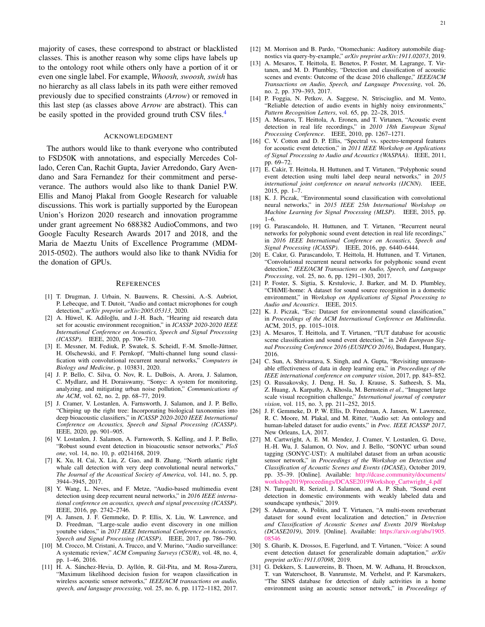majority of cases, these correspond to abstract or blacklisted classes. This is another reason why some clips have labels up to the ontology root while others only have a portion of it or even one single label. For example, *Whoosh, swoosh, swish* has no hierarchy as all class labels in its path were either removed previously due to specified constraints (*Arrow*) or removed in this last step (as classes above *Arrow* are abstract). This can be easily spotted in the provided ground truth CSV files.<sup>[4](#page-1-0)</sup>

## ACKNOWLEDGMENT

The authors would like to thank everyone who contributed to FSD50K with annotations, and especially Mercedes Collado, Ceren Can, Rachit Gupta, Javier Arredondo, Gary Avendano and Sara Fernandez for their commitment and perseverance. The authors would also like to thank Daniel P.W. Ellis and Manoj Plakal from Google Research for valuable discussions. This work is partially supported by the European Union's Horizon 2020 research and innovation programme under grant agreement No 688382 AudioCommons, and two Google Faculty Research Awards 2017 and 2018, and the Maria de Maeztu Units of Excellence Programme (MDM-2015-0502). The authors would also like to thank NVidia for the donation of GPUs.

#### REFERENCES

- <span id="page-20-0"></span>[1] T. Drugman, J. Urbain, N. Bauwens, R. Chessini, A.-S. Aubriot, P. Lebecque, and T. Dutoit, "Audio and contact microphones for cough detection," *arXiv preprint arXiv:2005.05313*, 2020.
- [2] A. Hüwel, K. Adiloğlu, and J.-H. Bach, "Hearing aid research data set for acoustic environment recognition," in *ICASSP 2020-2020 IEEE International Conference on Acoustics, Speech and Signal Processing (ICASSP)*. IEEE, 2020, pp. 706–710.
- <span id="page-20-1"></span>[3] E. Messner, M. Fediuk, P. Swatek, S. Scheidl, F.-M. Smolle-Jüttner, H. Olschewski, and F. Pernkopf, "Multi-channel lung sound classification with convolutional recurrent neural networks," *Computers in Biology and Medicine*, p. 103831, 2020.
- <span id="page-20-2"></span>[4] J. P. Bello, C. Silva, O. Nov, R. L. DuBois, A. Arora, J. Salamon, C. Mydlarz, and H. Doraiswamy, "Sonyc: A system for monitoring, analyzing, and mitigating urban noise pollution," *Communications of the ACM*, vol. 62, no. 2, pp. 68–77, 2019.
- <span id="page-20-3"></span>[5] J. Cramer, V. Lostanlen, A. Farnsworth, J. Salamon, and J. P. Bello, "Chirping up the right tree: Incorporating biological taxonomies into deep bioacoustic classifiers," in *ICASSP 2020-2020 IEEE International Conference on Acoustics, Speech and Signal Processing (ICASSP)*. IEEE, 2020, pp. 901–905.
- [6] V. Lostanlen, J. Salamon, A. Farnsworth, S. Kelling, and J. P. Bello, "Robust sound event detection in bioacoustic sensor networks," *PloS one*, vol. 14, no. 10, p. e0214168, 2019.
- <span id="page-20-4"></span>[7] K. Xu, H. Cai, X. Liu, Z. Gao, and B. Zhang, "North atlantic right whale call detection with very deep convolutional neural networks," *The Journal of the Acoustical Society of America*, vol. 141, no. 5, pp. 3944–3945, 2017.
- <span id="page-20-5"></span>[8] Y. Wang, L. Neves, and F. Metze, "Audio-based multimedia event detection using deep recurrent neural networks," in *2016 IEEE international conference on acoustics, speech and signal processing (ICASSP)*. IEEE, 2016, pp. 2742–2746.
- <span id="page-20-6"></span>[9] A. Jansen, J. F. Gemmeke, D. P. Ellis, X. Liu, W. Lawrence, and D. Freedman, "Large-scale audio event discovery in one million youtube videos," in *2017 IEEE International Conference on Acoustics, Speech and Signal Processing (ICASSP)*. IEEE, 2017, pp. 786–790.
- <span id="page-20-7"></span>[10] M. Crocco, M. Cristani, A. Trucco, and V. Murino, "Audio surveillance: A systematic review," *ACM Computing Surveys (CSUR)*, vol. 48, no. 4, pp. 1–46, 2016.
- <span id="page-20-8"></span>[11] H. A. Sánchez-Hevia, D. Ayllón, R. Gil-Pita, and M. Rosa-Zurera, "Maximum likelihood decision fusion for weapon classification in wireless acoustic sensor networks," *IEEE/ACM transactions on audio, speech, and language processing*, vol. 25, no. 6, pp. 1172–1182, 2017.
- <span id="page-20-9"></span>[12] M. Morrison and B. Pardo, "Otomechanic: Auditory automobile diagnostics via query-by-example," *arXiv preprint arXiv:1911.02073*, 2019.
- <span id="page-20-10"></span>[13] A. Mesaros, T. Heittola, E. Benetos, P. Foster, M. Lagrange, T. Virtanen, and M. D. Plumbley, "Detection and classification of acoustic scenes and events: Outcome of the dcase 2016 challenge," *IEEE/ACM Transactions on Audio, Speech, and Language Processing*, vol. 26, no. 2, pp. 379–393, 2017.
- <span id="page-20-11"></span>[14] P. Foggia, N. Petkov, A. Saggese, N. Strisciuglio, and M. Vento, "Reliable detection of audio events in highly noisy environments," *Pattern Recognition Letters*, vol. 65, pp. 22–28, 2015.
- <span id="page-20-12"></span>[15] A. Mesaros, T. Heittola, A. Eronen, and T. Virtanen, "Acoustic event detection in real life recordings," in *2010 18th European Signal Processing Conference*. IEEE, 2010, pp. 1267–1271.
- <span id="page-20-13"></span>[16] C. V. Cotton and D. P. Ellis, "Spectral vs. spectro-temporal features for acoustic event detection," in *2011 IEEE Workshop on Applications of Signal Processing to Audio and Acoustics (WASPAA)*. IEEE, 2011, pp. 69–72.
- <span id="page-20-14"></span>[17] E. Cakir, T. Heittola, H. Huttunen, and T. Virtanen, "Polyphonic sound event detection using multi label deep neural networks," in *2015 international joint conference on neural networks (IJCNN)*. IEEE, 2015, pp. 1–7.
- <span id="page-20-15"></span>[18] K. J. Piczak, "Environmental sound classification with convolutional neural networks," in *2015 IEEE 25th International Workshop on Machine Learning for Signal Processing (MLSP)*. IEEE, 2015, pp. 1–6.
- <span id="page-20-16"></span>[19] G. Parascandolo, H. Huttunen, and T. Virtanen, "Recurrent neural networks for polyphonic sound event detection in real life recordings," in *2016 IEEE International Conference on Acoustics, Speech and Signal Processing (ICASSP)*. IEEE, 2016, pp. 6440–6444.
- <span id="page-20-17"></span>[20] E. Cakır, G. Parascandolo, T. Heittola, H. Huttunen, and T. Virtanen, "Convolutional recurrent neural networks for polyphonic sound event detection," *IEEE/ACM Transactions on Audio, Speech, and Language Processing*, vol. 25, no. 6, pp. 1291–1303, 2017.
- <span id="page-20-18"></span>[21] P. Foster, S. Sigtia, S. Krstulovic, J. Barker, and M. D. Plumbley, "CHiME-home: A dataset for sound source recognition in a domestic environment," in *Workshop on Applications of Signal Processing to Audio and Acoustics*. IEEE, 2015.
- <span id="page-20-24"></span>[22] K. J. Piczak, "Esc: Dataset for environmental sound classification," in *Proceedings of the ACM International Conference on Multimedia*. ACM, 2015, pp. 1015–1018.
- <span id="page-20-19"></span>[23] A. Mesaros, T. Heittola, and T. Virtanen, "TUT database for acoustic scene classification and sound event detection," in *24th European Signal Processing Conference 2016 (EUSIPCO 2016)*, Budapest, Hungary, 2016.
- <span id="page-20-20"></span>[24] C. Sun, A. Shrivastava, S. Singh, and A. Gupta, "Revisiting unreasonable effectiveness of data in deep learning era," in *Proceedings of the IEEE international conference on computer vision*, 2017, pp. 843–852.
- <span id="page-20-21"></span>[25] O. Russakovsky, J. Deng, H. Su, J. Krause, S. Satheesh, S. Ma, Z. Huang, A. Karpathy, A. Khosla, M. Bernstein *et al.*, "Imagenet large scale visual recognition challenge," *International journal of computer vision*, vol. 115, no. 3, pp. 211–252, 2015.
- <span id="page-20-22"></span>[26] J. F. Gemmeke, D. P. W. Ellis, D. Freedman, A. Jansen, W. Lawrence, R. C. Moore, M. Plakal, and M. Ritter, "Audio set: An ontology and human-labeled dataset for audio events," in *Proc. IEEE ICASSP 2017*, New Orleans, LA, 2017.
- <span id="page-20-23"></span>[27] M. Cartwright, A. E. M. Mendez, J. Cramer, V. Lostanlen, G. Dove, H.-H. Wu, J. Salamon, O. Nov, and J. Bello, "SONYC urban sound tagging (SONYC-UST): A multilabel dataset from an urban acoustic sensor network," in *Proceedings of the Workshop on Detection and Classification of Acoustic Scenes and Events (DCASE)*, October 2019, pp. 35–39. [Online]. Available: [http://dcase.community/documents/](http://dcase.community/documents/workshop2019/proceedings/DCASE2019Workshop_Cartwright_4.pdf) [workshop2019/proceedings/DCASE2019Workshop](http://dcase.community/documents/workshop2019/proceedings/DCASE2019Workshop_Cartwright_4.pdf)\_Cartwright\_4.pdf
- <span id="page-20-25"></span>[28] N. Turpault, R. Serizel, J. Salamon, and A. P. Shah, "Sound event detection in domestic environments with weakly labeled data and soundscape synthesis," 2019.
- <span id="page-20-26"></span>[29] S. Adavanne, A. Politis, and T. Virtanen, "A multi-room reverberant dataset for sound event localization and detection," in *Detection and Classification of Acoustic Scenes and Events 2019 Workshop (DCASE2019)*, 2019. [Online]. Available: [https://arxiv.org/abs/1905.](https://arxiv.org/abs/1905.08546) [08546](https://arxiv.org/abs/1905.08546)
- <span id="page-20-27"></span>[30] S. Gharib, K. Drossos, E. Fagerlund, and T. Virtanen, "Voice: A sound event detection dataset for generalizable domain adaptation," *arXiv preprint arXiv:1911.07098*, 2019.
- [31] G. Dekkers, S. Lauwereins, B. Thoen, M. W. Adhana, H. Brouckxon, T. van Waterschoot, B. Vanrumste, M. Verhelst, and P. Karsmakers, "The SINS database for detection of daily activities in a home environment using an acoustic sensor network," in *Proceedings of*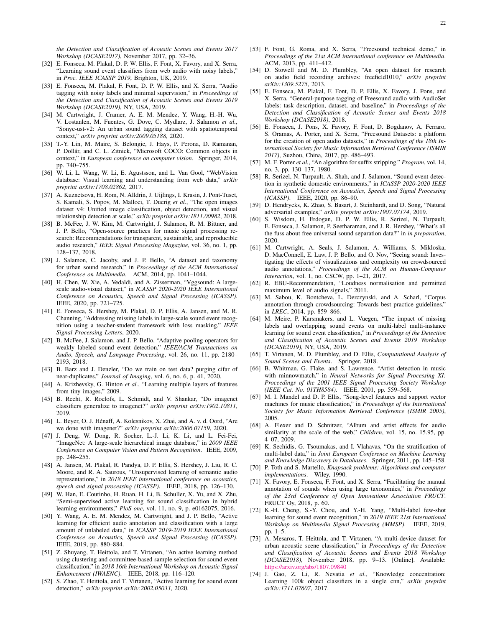*the Detection and Classification of Acoustic Scenes and Events 2017 Workshop (DCASE2017)*, November 2017, pp. 32–36.

- <span id="page-21-5"></span>[32] E. Fonseca, M. Plakal, D. P. W. Ellis, F. Font, X. Favory, and X. Serra, "Learning sound event classifiers from web audio with noisy labels," in *Proc. IEEE ICASSP 2019*, Brighton, UK, 2019.
- <span id="page-21-6"></span>[33] E. Fonseca, M. Plakal, F. Font, D. P. W. Ellis, and X. Serra, "Audio tagging with noisy labels and minimal supervision," in *Proceedings of the Detection and Classification of Acoustic Scenes and Events 2019 Workshop (DCASE2019)*, NY, USA, 2019.
- <span id="page-21-0"></span>[34] M. Cartwright, J. Cramer, A. E. M. Mendez, Y. Wang, H.-H. Wu, V. Lostanlen, M. Fuentes, G. Dove, C. Mydlarz, J. Salamon *et al.*, "Sonyc-ust-v2: An urban sound tagging dataset with spatiotemporal context," *arXiv preprint arXiv:2009.05188*, 2020.
- <span id="page-21-1"></span>[35] T.-Y. Lin, M. Maire, S. Belongie, J. Hays, P. Perona, D. Ramanan, P. Dollar, and C. L. Zitnick, "Microsoft COCO: Common objects in ´ context," in *European conference on computer vision*. Springer, 2014, pp. 740–755.
- [36] W. Li, L. Wang, W. Li, E. Agustsson, and L. Van Gool, "WebVision database: Visual learning and understanding from web data," *arXiv preprint arXiv:1708.02862*, 2017.
- <span id="page-21-2"></span>[37] A. Kuznetsova, H. Rom, N. Alldrin, J. Uijlings, I. Krasin, J. Pont-Tuset, S. Kamali, S. Popov, M. Malloci, T. Duerig *et al.*, "The open images dataset v4: Unified image classification, object detection, and visual relationship detection at scale," *arXiv preprint arXiv:1811.00982*, 2018.
- <span id="page-21-3"></span>[38] B. McFee, J. W. Kim, M. Cartwright, J. Salamon, R. M. Bittner, and J. P. Bello, "Open-source practices for music signal processing research: Recommendations for transparent, sustainable, and reproducible audio research," *IEEE Signal Processing Magazine*, vol. 36, no. 1, pp. 128–137, 2018.
- <span id="page-21-4"></span>[39] J. Salamon, C. Jacoby, and J. P. Bello, "A dataset and taxonomy for urban sound research," in *Proceedings of the ACM International Conference on Multimedia*. ACM, 2014, pp. 1041–1044.
- <span id="page-21-7"></span>[40] H. Chen, W. Xie, A. Vedaldi, and A. Zisserman, "Vggsound: A largescale audio-visual dataset," in *ICASSP 2020-2020 IEEE International Conference on Acoustics, Speech and Signal Processing (ICASSP)*. IEEE, 2020, pp. 721–725.
- <span id="page-21-8"></span>[41] E. Fonseca, S. Hershey, M. Plakal, D. P. Ellis, A. Jansen, and M. R. Channing, "Addressing missing labels in large-scale sound event recognition using a teacher-student framework with loss masking," *IEEE Signal Processing Letters*, 2020.
- <span id="page-21-9"></span>[42] B. McFee, J. Salamon, and J. P. Bello, "Adaptive pooling operators for weakly labeled sound event detection," *IEEE/ACM Transactions on Audio, Speech, and Language Processing*, vol. 26, no. 11, pp. 2180– 2193, 2018.
- <span id="page-21-10"></span>[43] B. Barz and J. Denzler, "Do we train on test data? purging cifar of near-duplicates," *Journal of Imaging*, vol. 6, no. 6, p. 41, 2020.
- <span id="page-21-11"></span>[44] A. Krizhevsky, G. Hinton et al., "Learning multiple layers of features from tiny images," 2009.
- <span id="page-21-12"></span>[45] B. Recht, R. Roelofs, L. Schmidt, and V. Shankar, "Do imagenet classifiers generalize to imagenet?" *arXiv preprint arXiv:1902.10811*, 2019.
- <span id="page-21-13"></span>[46] L. Beyer, O. J. Hénaff, A. Kolesnikov, X. Zhai, and A. v. d. Oord, "Are we done with imagenet?" *arXiv preprint arXiv:2006.07159*, 2020.
- <span id="page-21-14"></span>[47] J. Deng, W. Dong, R. Socher, L.-J. Li, K. Li, and L. Fei-Fei, "ImageNet: A large-scale hierarchical image database," in *2009 IEEE Conference on Computer Vision and Pattern Recognition*. IEEE, 2009, pp. 248–255.
- <span id="page-21-15"></span>[48] A. Jansen, M. Plakal, R. Pandya, D. P. Ellis, S. Hershey, J. Liu, R. C. Moore, and R. A. Saurous, "Unsupervised learning of semantic audio representations," in *2018 IEEE international conference on acoustics, speech and signal processing (ICASSP)*. IEEE, 2018, pp. 126–130.
- <span id="page-21-16"></span>[49] W. Han, E. Coutinho, H. Ruan, H. Li, B. Schuller, X. Yu, and X. Zhu, "Semi-supervised active learning for sound classification in hybrid learning environments," *PloS one*, vol. 11, no. 9, p. e0162075, 2016.
- [50] Y. Wang, A. E. M. Mendez, M. Cartwright, and J. P. Bello, "Active learning for efficient audio annotation and classification with a large amount of unlabeled data," in *ICASSP 2019-2019 IEEE International Conference on Acoustics, Speech and Signal Processing (ICASSP)*. IEEE, 2019, pp. 880–884.
- [51] Z. Shuyang, T. Heittola, and T. Virtanen, "An active learning method using clustering and committee-based sample selection for sound event classification," in *2018 16th International Workshop on Acoustic Signal Enhancement (IWAENC)*. IEEE, 2018, pp. 116–120.
- <span id="page-21-17"></span>[52] S. Zhao, T. Heittola, and T. Virtanen, "Active learning for sound event detection," *arXiv preprint arXiv:2002.05033*, 2020.
- <span id="page-21-18"></span>[53] F. Font, G. Roma, and X. Serra, "Freesound technical demo," in *Proceedings of the 21st ACM international conference on Multimedia*. ACM, 2013, pp. 411–412.
- <span id="page-21-19"></span>[54] D. Stowell and M. D. Plumbley, "An open dataset for research on audio field recording archives: freefield1010," *arXiv preprint arXiv:1309.5275*, 2013.
- <span id="page-21-20"></span>[55] E. Fonseca, M. Plakal, F. Font, D. P. Ellis, X. Favory, J. Pons, and X. Serra, "General-purpose tagging of Freesound audio with AudioSet labels: task description, dataset, and baseline," in *Proceedings of the Detection and Classification of Acoustic Scenes and Events 2018 Workshop (DCASE2018)*, 2018.
- <span id="page-21-21"></span>[56] E. Fonseca, J. Pons, X. Favory, F. Font, D. Bogdanov, A. Ferraro, S. Oramas, A. Porter, and X. Serra, "Freesound Datasets: a platform for the creation of open audio datasets," in *Proceedings of the 18th International Society for Music Information Retrieval Conference (ISMIR 2017)*, Suzhou, China, 2017, pp. 486–493.
- <span id="page-21-22"></span>[57] M. F. Porter *et al.*, "An algorithm for suffix stripping." *Program*, vol. 14, no. 3, pp. 130–137, 1980.
- <span id="page-21-23"></span>[58] R. Serizel, N. Turpault, A. Shah, and J. Salamon, "Sound event detection in synthetic domestic environments," in *ICASSP 2020-2020 IEEE International Conference on Acoustics, Speech and Signal Processing (ICASSP)*. IEEE, 2020, pp. 86–90.
- <span id="page-21-24"></span>[59] D. Hendrycks, K. Zhao, S. Basart, J. Steinhardt, and D. Song, "Natural adversarial examples," *arXiv preprint arXiv:1907.07174*, 2019.
- <span id="page-21-25"></span>[60] S. Wisdom, H. Erdogan, D. P. W. Ellis, R. Serizel, N. Turpault, E. Fonseca, J. Salamon, P. Seetharaman, and J. R. Hershey, "What's all the fuss about free universal sound separation data?" in *in preparation*, 2020.
- <span id="page-21-26"></span>[61] M. Cartwright, A. Seals, J. Salamon, A. Williams, S. Mikloska, D. MacConnell, E. Law, J. P. Bello, and O. Nov, "Seeing sound: Investigating the effects of visualizations and complexity on crowdsourced audio annotations," *Proceedings of the ACM on Human-Computer Interaction*, vol. 1, no. CSCW, pp. 1–21, 2017.
- <span id="page-21-27"></span>[62] R. EBU-Recommendation, "Loudness normalisation and permitted maximum level of audio signals," 2011.
- <span id="page-21-28"></span>[63] M. Sabou, K. Bontcheva, L. Derczynski, and A. Scharl, "Corpus annotation through crowdsourcing: Towards best practice guidelines." in *LREC*, 2014, pp. 859–866.
- <span id="page-21-29"></span>[64] M. Meire, P. Karsmakers, and L. Vuegen, "The impact of missing labels and overlapping sound events on multi-label multi-instance learning for sound event classification," in *Proceedings of the Detection and Classification of Acoustic Scenes and Events 2019 Workshop (DCASE2019)*, NY, USA, 2019.
- <span id="page-21-30"></span>[65] T. Virtanen, M. D. Plumbley, and D. Ellis, *Computational Analysis of Sound Scenes and Events*. Springer, 2018.
- <span id="page-21-31"></span>[66] B. Whitman, G. Flake, and S. Lawrence, "Artist detection in music with minnowmatch," in *Neural Networks for Signal Processing XI: Proceedings of the 2001 IEEE Signal Processing Society Workshop (IEEE Cat. No. 01TH8584)*. IEEE, 2001, pp. 559–568.
- <span id="page-21-32"></span>[67] M. I. Mandel and D. P. Ellis, "Song-level features and support vector machines for music classification," in *Proceedings of the International Society for Music Information Retrieval Conference (ISMIR 2005)*, 2005.
- <span id="page-21-33"></span>[68] A. Flexer and D. Schnitzer, "Album and artist effects for audio similarity at the scale of the web," *Children*, vol. 15, no. 15.95, pp. 4–07, 2009.
- <span id="page-21-34"></span>[69] K. Sechidis, G. Tsoumakas, and I. Vlahavas, "On the stratification of multi-label data," in *Joint European Conference on Machine Learning and Knowledge Discovery in Databases*. Springer, 2011, pp. 145–158.
- <span id="page-21-35"></span>[70] P. Toth and S. Martello, *Knapsack problems: Algorithms and computer implementations*. Wiley, 1990.
- <span id="page-21-36"></span>[71] X. Favory, E. Fonseca, F. Font, and X. Serra, "Facilitating the manual annotation of sounds when using large taxonomies," in *Proceedings of the 23rd Conference of Open Innovations Association FRUCT*. FRUCT Oy, 2018, p. 60.
- <span id="page-21-37"></span>[72] K.-H. Cheng, S.-Y. Chou, and Y.-H. Yang, "Multi-label few-shot learning for sound event recognition," in *2019 IEEE 21st International Workshop on Multimedia Signal Processing (MMSP)*. IEEE, 2019, pp. 1–5.
- <span id="page-21-38"></span>[73] A. Mesaros, T. Heittola, and T. Virtanen, "A multi-device dataset for urban acoustic scene classification," in *Proceedings of the Detection and Classification of Acoustic Scenes and Events 2018 Workshop (DCASE2018)*, November 2018, pp. 9–13. [Online]. Available: <https://arxiv.org/abs/1807.09840>
- <span id="page-21-39"></span>[74] J. Gao, Z. Li, R. Nevatia *et al.*, "Knowledge concentration: Learning 100k object classifiers in a single cnn," *arXiv preprint arXiv:1711.07607*, 2017.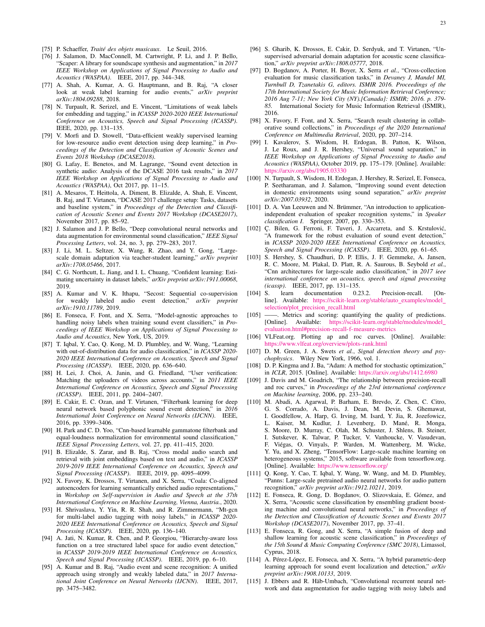- <span id="page-22-0"></span>[75] P. Schaeffer, *Traité des objets musicaux*. Le Seuil, 2016.
- <span id="page-22-1"></span>[76] J. Salamon, D. MacConnell, M. Cartwright, P. Li, and J. P. Bello, "Scaper: A library for soundscape synthesis and augmentation," in *2017 IEEE Workshop on Applications of Signal Processing to Audio and Acoustics (WASPAA)*. IEEE, 2017, pp. 344–348.
- <span id="page-22-2"></span>[77] A. Shah, A. Kumar, A. G. Hauptmann, and B. Raj, "A closer look at weak label learning for audio events," *arXiv preprint arXiv:1804.09288*, 2018.
- <span id="page-22-3"></span>[78] N. Turpault, R. Serizel, and E. Vincent, "Limitations of weak labels for embedding and tagging," in *ICASSP 2020-2020 IEEE International Conference on Acoustics, Speech and Signal Processing (ICASSP)*. IEEE, 2020, pp. 131–135.
- <span id="page-22-4"></span>[79] V. Morfi and D. Stowell, "Data-efficient weakly supervised learning for low-resource audio event detection using deep learning," in *Proceedings of the Detection and Classification of Acoustic Scenes and Events 2018 Workshop (DCASE2018)*.
- <span id="page-22-5"></span>[80] G. Lafay, E. Benetos, and M. Lagrange, "Sound event detection in synthetic audio: Analysis of the DCASE 2016 task results," in *2017 IEEE Workshop on Applications of Signal Processing to Audio and Acoustics (WASPAA)*, Oct 2017, pp. 11–15.
- <span id="page-22-6"></span>[81] A. Mesaros, T. Heittola, A. Diment, B. Elizalde, A. Shah, E. Vincent, B. Raj, and T. Virtanen, "DCASE 2017 challenge setup: Tasks, datasets and baseline system," in *Proceedings of the Detection and Classification of Acoustic Scenes and Events 2017 Workshop (DCASE2017)*, November 2017, pp. 85–92.
- <span id="page-22-7"></span>[82] J. Salamon and J. P. Bello, "Deep convolutional neural networks and data augmentation for environmental sound classification," *IEEE Signal Processing Letters*, vol. 24, no. 3, pp. 279–283, 2017.
- <span id="page-22-8"></span>[83] J. Li, M. L. Seltzer, X. Wang, R. Zhao, and Y. Gong, "Largescale domain adaptation via teacher-student learning," *arXiv preprint arXiv:1708.05466*, 2017.
- <span id="page-22-9"></span>[84] C. G. Northcutt, L. Jiang, and I. L. Chuang, "Confident learning: Estimating uncertainty in dataset labels," *arXiv preprint arXiv:1911.00068*, 2019.
- <span id="page-22-10"></span>[85] A. Kumar and V. K. Ithapu, "Secost: Sequential co-supervision for weakly labeled audio event detection," *arXiv preprint arXiv:1910.11789*, 2019.
- <span id="page-22-11"></span>[86] E. Fonseca, F. Font, and X. Serra, "Model-agnostic approaches to handling noisy labels when training sound event classifiers," in *Proceedings of IEEE Workshop on Applications of Signal Processing to Audio and Acoustics*, New York, US, 2019.
- <span id="page-22-12"></span>[87] T. Iqbal, Y. Cao, Q. Kong, M. D. Plumbley, and W. Wang, "Learning with out-of-distribution data for audio classification," in *ICASSP 2020- 2020 IEEE International Conference on Acoustics, Speech and Signal Processing (ICASSP)*. IEEE, 2020, pp. 636–640.
- <span id="page-22-13"></span>[88] H. Lei, J. Choi, A. Janin, and G. Friedland, "User verification: Matching the uploaders of videos across accounts," in *2011 IEEE International Conference on Acoustics, Speech and Signal Processing (ICASSP)*. IEEE, 2011, pp. 2404–2407.
- <span id="page-22-14"></span>[89] E. Cakir, E. C. Ozan, and T. Virtanen, "Filterbank learning for deep neural network based polyphonic sound event detection," in *2016 International Joint Conference on Neural Networks (IJCNN)*. IEEE, 2016, pp. 3399–3406.
- <span id="page-22-15"></span>[90] H. Park and C. D. Yoo, "Cnn-based learnable gammatone filterbank and equal-loudness normalization for environmental sound classification. *IEEE Signal Processing Letters*, vol. 27, pp. 411–415, 2020.
- <span id="page-22-16"></span>[91] B. Elizalde, S. Zarar, and B. Raj, "Cross modal audio search and retrieval with joint embeddings based on text and audio," in *ICASSP 2019-2019 IEEE International Conference on Acoustics, Speech and Signal Processing (ICASSP)*. IEEE, 2019, pp. 4095–4099.
- <span id="page-22-17"></span>[92] X. Favory, K. Drossos, T. Virtanen, and X. Serra, "Coala: Co-aligned autoencoders for learning semantically enriched audio representations," in *Workshop on Self-supervision in Audio and Speech at the 37th International Conference on Machine Learning, Vienna, Austria.*, 2020.
- <span id="page-22-18"></span>[93] H. Shrivaslava, Y. Yin, R. R. Shah, and R. Zimmermann, "Mt-gcn for multi-label audio tagging with noisy labels," in *ICASSP 2020- 2020 IEEE International Conference on Acoustics, Speech and Signal Processing (ICASSP)*. IEEE, 2020, pp. 136–140.
- <span id="page-22-19"></span>[94] A. Jati, N. Kumar, R. Chen, and P. Georgiou, "Hierarchy-aware loss function on a tree structured label space for audio event detection," in *ICASSP 2019-2019 IEEE International Conference on Acoustics, Speech and Signal Processing (ICASSP)*. IEEE, 2019, pp. 6–10.
- <span id="page-22-20"></span>[95] A. Kumar and B. Raj, "Audio event and scene recognition: A unified approach using strongly and weakly labeled data," in *2017 International Joint Conference on Neural Networks (IJCNN)*. IEEE, 2017, pp. 3475–3482.
- <span id="page-22-21"></span>[96] S. Gharib, K. Drossos, E. Cakir, D. Serdyuk, and T. Virtanen, "Unsupervised adversarial domain adaptation for acoustic scene classification," *arXiv preprint arXiv:1808.05777*, 2018.
- <span id="page-22-22"></span>[97] D. Bogdanov, A. Porter, H. Boyer, X. Serra *et al.*, "Cross-collection evaluation for music classification tasks," in *Devaney J, Mandel MI, Turnbull D, Tzanetakis G, editors. ISMIR 2016. Proceedings of the 17th International Society for Music Information Retrieval Conference; 2016 Aug 7-11; New York City (NY).[Canada]: ISMIR; 2016. p. 379- 85.* International Society for Music Information Retrieval (ISMIR), 2016.
- <span id="page-22-23"></span>[98] X. Favory, F. Font, and X. Serra, "Search result clustering in collaborative sound collections," in *Proceedings of the 2020 International Conference on Multimedia Retrieval*, 2020, pp. 207–214.
- <span id="page-22-24"></span>[99] I. Kavalerov, S. Wisdom, H. Erdogan, B. Patton, K. Wilson, J. Le Roux, and J. R. Hershey, "Universal sound separation," in *IEEE Workshop on Applications of Signal Processing to Audio and Acoustics (WASPAA)*, October 2019, pp. 175–179. [Online]. Available: <https://arxiv.org/abs/1905.03330>
- <span id="page-22-25"></span>[100] N. Turpault, S. Wisdom, H. Erdogan, J. Hershey, R. Serizel, E. Fonseca, P. Seetharaman, and J. Salamon, "Improving sound event detection in domestic environments using sound separation," *arXiv preprint arXiv:2007.03932*, 2020.
- <span id="page-22-26"></span>[101] D. A. Van Leeuwen and N. Brümmer, "An introduction to applicationindependent evaluation of speaker recognition systems," in *Speaker classification I*. Springer, 2007, pp. 330–353.
- <span id="page-22-27"></span>[102] Ç. Bilen, G. Ferroni, F. Tuveri, J. Azcarreta, and S. Krstulović, "A framework for the robust evaluation of sound event detection," in *ICASSP 2020-2020 IEEE International Conference on Acoustics, Speech and Signal Processing (ICASSP)*. IEEE, 2020, pp. 61–65.
- <span id="page-22-28"></span>[103] S. Hershey, S. Chaudhuri, D. P. Ellis, J. F. Gemmeke, A. Jansen, R. C. Moore, M. Plakal, D. Platt, R. A. Saurous, B. Seybold *et al.*, "Cnn architectures for large-scale audio classification," in *2017 ieee international conference on acoustics, speech and signal processing (icassp)*. IEEE, 2017, pp. 131–135.<br>[104] S. learn documentation 0.23.2.
- <span id="page-22-29"></span>learn documentation 0.23.2. Precision-recall. [Online]. Available: [https://scikit-learn.org/stable/auto](https://scikit-learn.org/stable/auto_examples/model_selection/plot_precision_recall.html)\_examples/model\_ [selection/plot](https://scikit-learn.org/stable/auto_examples/model_selection/plot_precision_recall.html) precision recall.html
- <span id="page-22-30"></span>[105] ——. Metrics and scoring: quantifying the quality of predictions. [Online]. Available: [https://scikit-learn.org/stable/modules/model](https://scikit-learn.org/stable/modules/model_evaluation.html#precision-recall-f-measure-metrics) [evaluation.html#precision-recall-f-measure-metrics](https://scikit-learn.org/stable/modules/model_evaluation.html#precision-recall-f-measure-metrics)
- <span id="page-22-31"></span>[106] VLFeat.org. Plotting ap and roc curves. [Online]. Available: <https://www.vlfeat.org/overview/plots-rank.html>
- <span id="page-22-32"></span>[107] D. M. Green, J. A. Swets *et al.*, *Signal detection theory and psychophysics*. Wiley New York, 1966, vol. 1.
- <span id="page-22-33"></span>[108] D. P. Kingma and J. Ba, "Adam: A method for stochastic optimization," in *ICLR*, 2015. [Online]. Available: <https://arxiv.org/abs/1412.6980>
- <span id="page-22-34"></span>[109] J. Davis and M. Goadrich, "The relationship between precision-recall and roc curves," in *Proceedings of the 23rd international conference on Machine learning*, 2006, pp. 233–240.
- <span id="page-22-35"></span>[110] M. Abadi, A. Agarwal, P. Barham, E. Brevdo, Z. Chen, C. Citro, G. S. Corrado, A. Davis, J. Dean, M. Devin, S. Ghemawat, I. Goodfellow, A. Harp, G. Irving, M. Isard, Y. Jia, R. Jozefowicz, L. Kaiser, M. Kudlur, J. Levenberg, D. Mané, R. Monga, S. Moore, D. Murray, C. Olah, M. Schuster, J. Shlens, B. Steiner, I. Sutskever, K. Talwar, P. Tucker, V. Vanhoucke, V. Vasudevan, F. Viégas, O. Vinyals, P. Warden, M. Wattenberg, M. Wicke, Y. Yu, and X. Zheng, "TensorFlow: Large-scale machine learning on heterogeneous systems," 2015, software available from tensorflow.org. [Online]. Available: <https://www.tensorflow.org/>
- <span id="page-22-36"></span>[111] Q. Kong, Y. Cao, T. Iqbal, Y. Wang, W. Wang, and M. D. Plumbley, "Panns: Large-scale pretrained audio neural networks for audio pattern recognition," *arXiv preprint arXiv:1912.10211*, 2019.
- [112] E. Fonseca, R. Gong, D. Bogdanov, O. Slizovskaia, E. Gómez, and X. Serra, "Acoustic scene classification by ensembling gradient boosting machine and convolutional neural networks," in *Proceedings of the Detection and Classification of Acoustic Scenes and Events 2017 Workshop (DCASE2017)*, November 2017, pp. 37–41.
- <span id="page-22-37"></span>[113] E. Fonseca, R. Gong, and X. Serra, "A simple fusion of deep and shallow learning for acoustic scene classification," in *Proceedings of the 15th Sound & Music Computing Conference (SMC 2018)*, Limassol, Cyprus, 2018.
- <span id="page-22-38"></span>[114] A. Pérez-López, E. Fonseca, and X. Serra, "A hybrid parametric-deep learning approach for sound event localization and detection," *arXiv preprint arXiv:1908.10133*, 2019.
- <span id="page-22-39"></span>[115] J. Ebbers and R. Häb-Umbach, "Convolutional recurrent neural network and data augmentation for audio tagging with noisy labels and